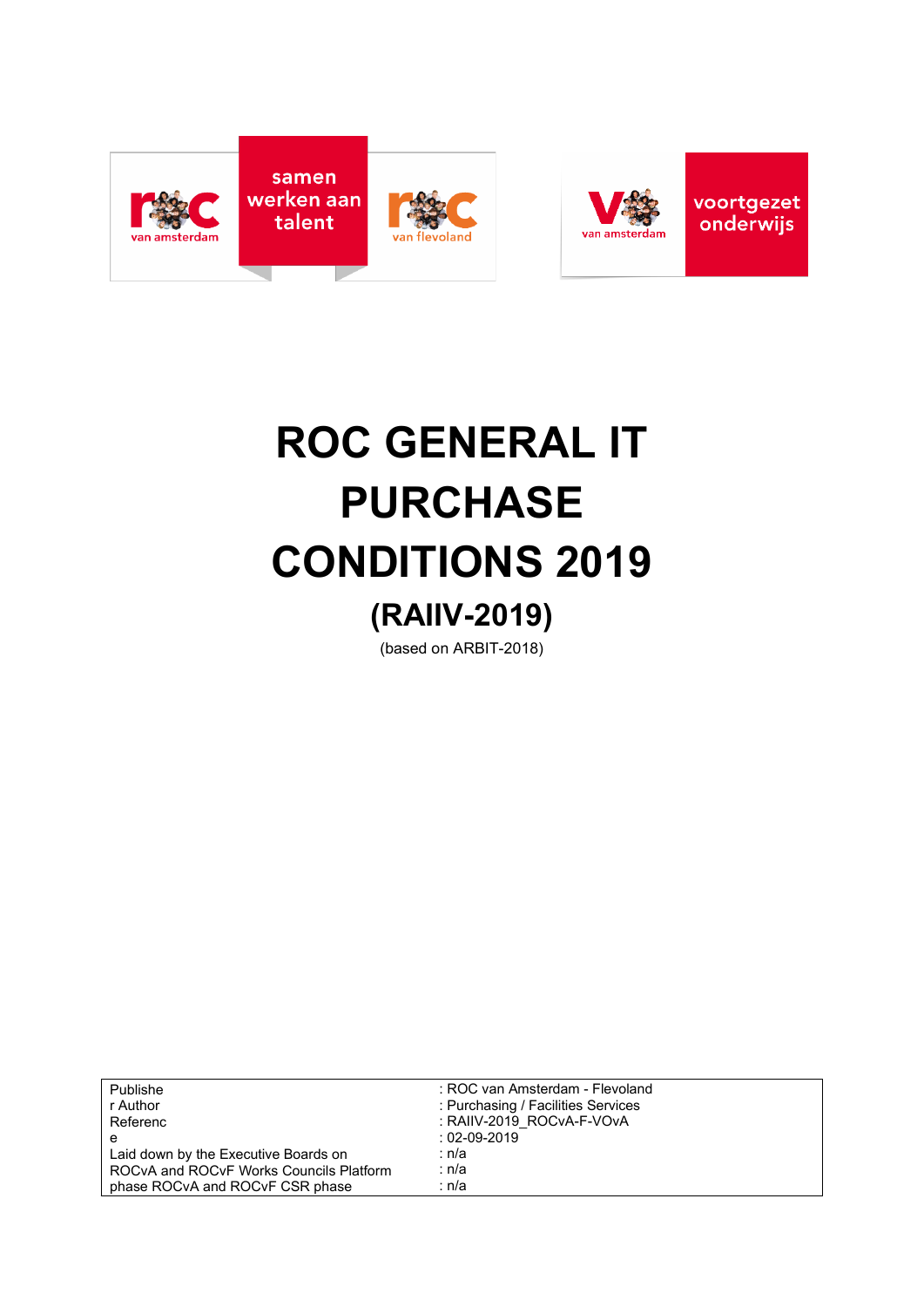



# **ROC GENERAL IT PURCHASE CONDITIONS 2019 (RAIIV-2019)**

(based on ARBIT-2018)

| Publishe                                | : ROC van Amsterdam - Flevoland    |
|-----------------------------------------|------------------------------------|
| r Author                                | : Purchasing / Facilities Services |
| Referenc                                | : RAIIV-2019 ROCvA-F-VOvA          |
| е                                       | $:02-09-2019$                      |
| Laid down by the Executive Boards on    | ∶ n/a                              |
| ROCVA and ROCVF Works Councils Platform | ∶ n/a                              |
| phase ROCvA and ROCvF CSR phase         | ∶ n/a                              |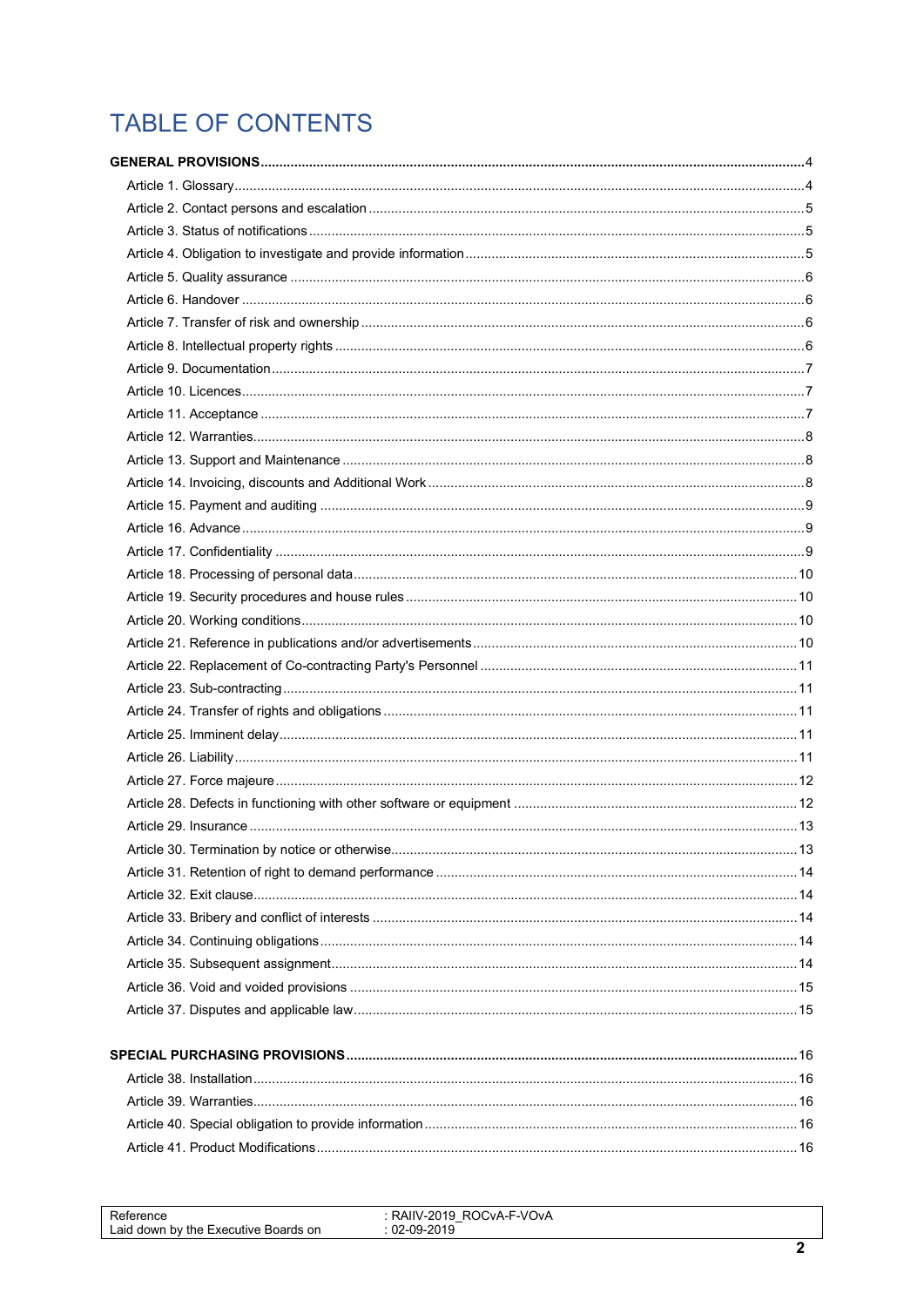# TABLE OF CONTENTS

| Reference<br>Laid down by the Executive Boards on | : RAIIV-2019 ROCvA-F-VOvA<br>$: 02 - 09 - 2019$ |  |
|---------------------------------------------------|-------------------------------------------------|--|
|                                                   |                                                 |  |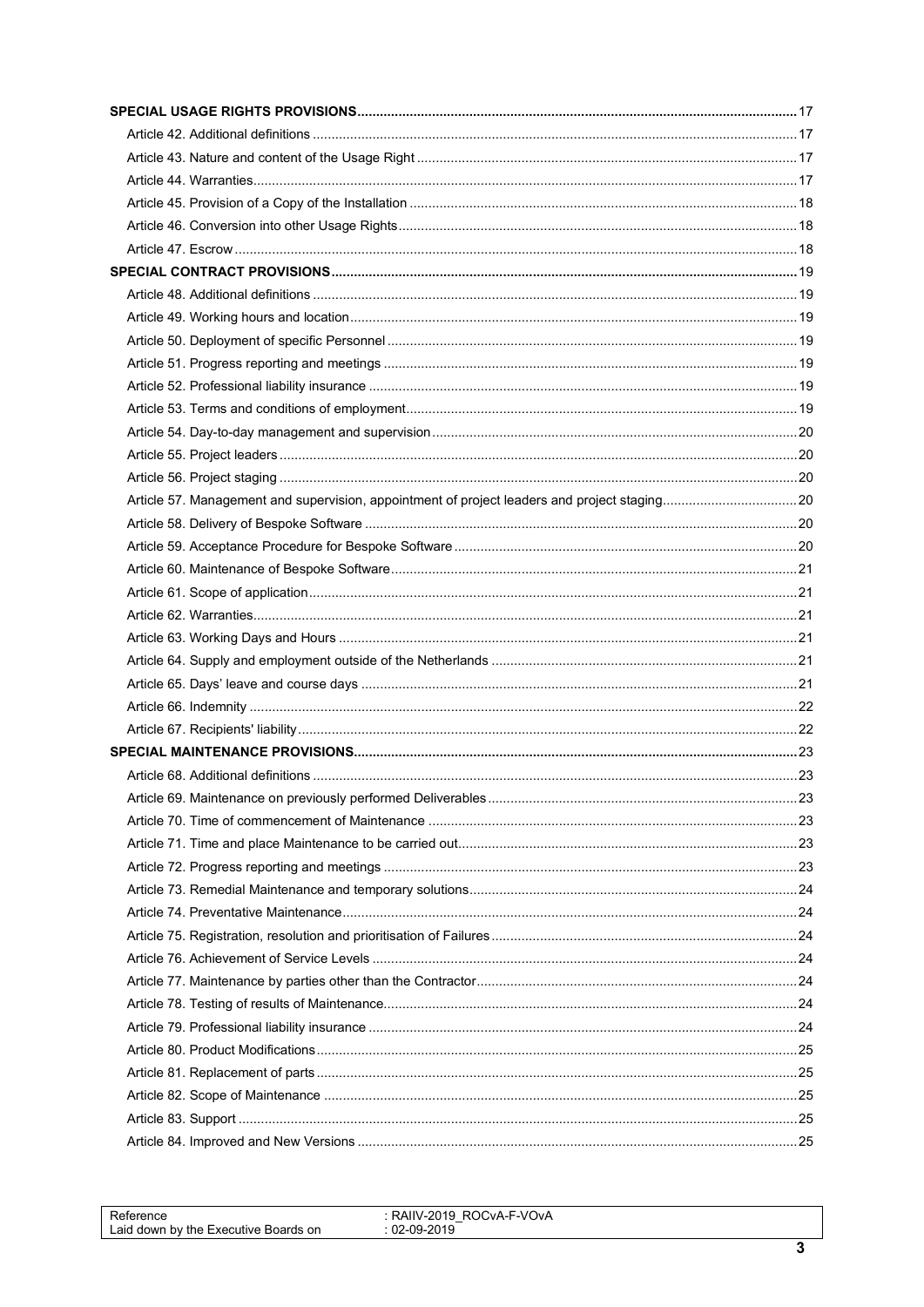| Reference                            | : RAIIV-2019 ROCvA-F-VOvA |  |
|--------------------------------------|---------------------------|--|
|                                      | $02-09-2019$              |  |
| Laid down by the Executive Boards on |                           |  |
|                                      |                           |  |
|                                      |                           |  |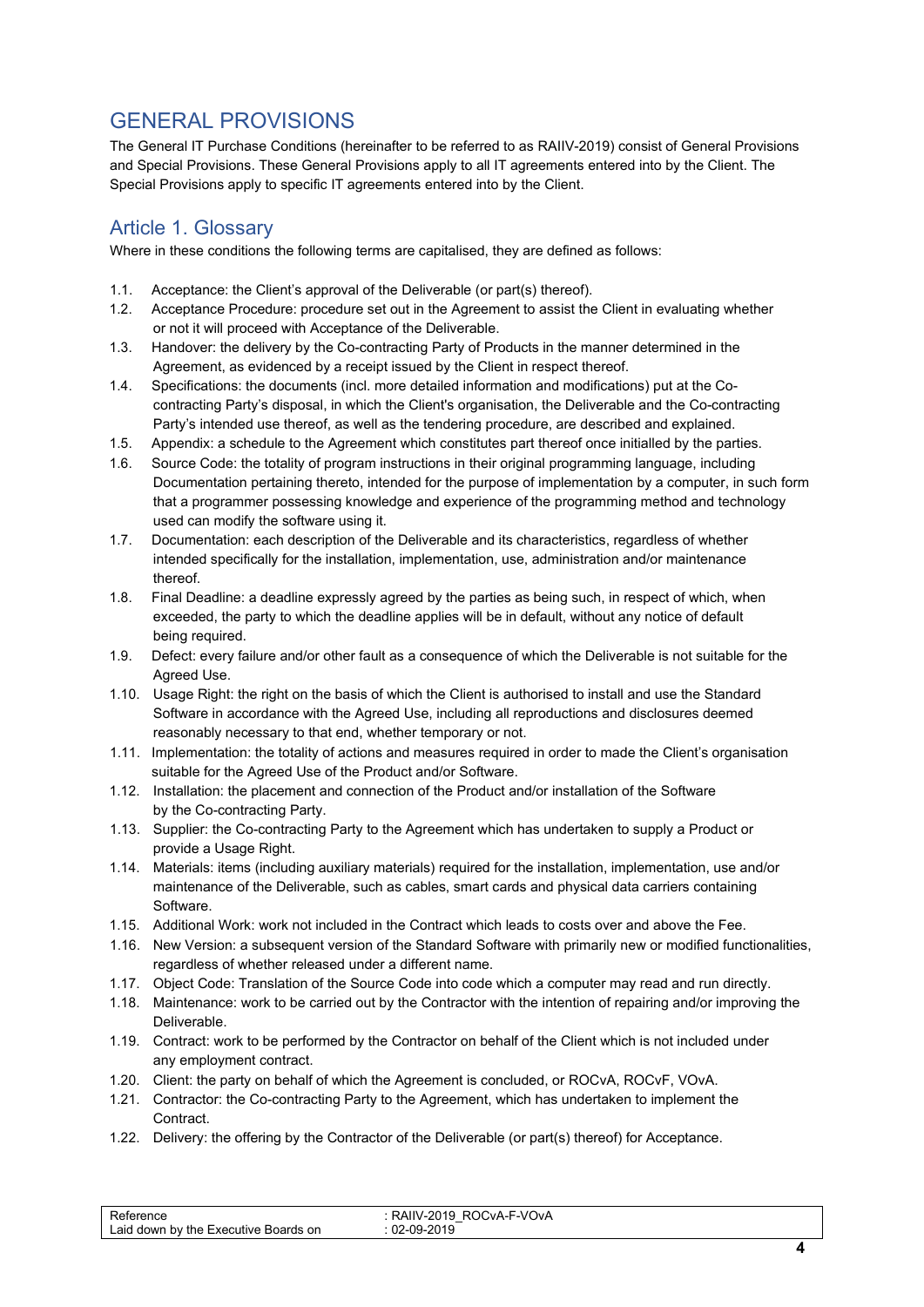# <span id="page-3-0"></span>GENERAL PROVISIONS

The General IT Purchase Conditions (hereinafter to be referred to as RAIIV-2019) consist of General Provisions and Special Provisions. These General Provisions apply to all IT agreements entered into by the Client. The Special Provisions apply to specific IT agreements entered into by the Client.

#### <span id="page-3-1"></span>Article 1. Glossary

Where in these conditions the following terms are capitalised, they are defined as follows:

- 1.1. Acceptance: the Client's approval of the Deliverable (or part(s) thereof).
- 1.2. Acceptance Procedure: procedure set out in the Agreement to assist the Client in evaluating whether or not it will proceed with Acceptance of the Deliverable.
- 1.3. Handover: the delivery by the Co-contracting Party of Products in the manner determined in the Agreement, as evidenced by a receipt issued by the Client in respect thereof.
- 1.4. Specifications: the documents (incl. more detailed information and modifications) put at the Cocontracting Party's disposal, in which the Client's organisation, the Deliverable and the Co-contracting Party's intended use thereof, as well as the tendering procedure, are described and explained.
- 1.5. Appendix: a schedule to the Agreement which constitutes part thereof once initialled by the parties.
- 1.6. Source Code: the totality of program instructions in their original programming language, including Documentation pertaining thereto, intended for the purpose of implementation by a computer, in such form that a programmer possessing knowledge and experience of the programming method and technology used can modify the software using it.
- 1.7. Documentation: each description of the Deliverable and its characteristics, regardless of whether intended specifically for the installation, implementation, use, administration and/or maintenance thereof.
- 1.8. Final Deadline: a deadline expressly agreed by the parties as being such, in respect of which, when exceeded, the party to which the deadline applies will be in default, without any notice of default being required.
- 1.9. Defect: every failure and/or other fault as a consequence of which the Deliverable is not suitable for the Agreed Use.
- 1.10. Usage Right: the right on the basis of which the Client is authorised to install and use the Standard Software in accordance with the Agreed Use, including all reproductions and disclosures deemed reasonably necessary to that end, whether temporary or not.
- 1.11. Implementation: the totality of actions and measures required in order to made the Client's organisation suitable for the Agreed Use of the Product and/or Software.
- 1.12. Installation: the placement and connection of the Product and/or installation of the Software by the Co-contracting Party.
- 1.13. Supplier: the Co-contracting Party to the Agreement which has undertaken to supply a Product or provide a Usage Right.
- 1.14. Materials: items (including auxiliary materials) required for the installation, implementation, use and/or maintenance of the Deliverable, such as cables, smart cards and physical data carriers containing Software.
- 1.15. Additional Work: work not included in the Contract which leads to costs over and above the Fee.
- 1.16. New Version: a subsequent version of the Standard Software with primarily new or modified functionalities, regardless of whether released under a different name.
- 1.17. Object Code: Translation of the Source Code into code which a computer may read and run directly.
- 1.18. Maintenance: work to be carried out by the Contractor with the intention of repairing and/or improving the Deliverable.
- 1.19. Contract: work to be performed by the Contractor on behalf of the Client which is not included under any employment contract.
- 1.20. Client: the party on behalf of which the Agreement is concluded, or ROCvA, ROCvF, VOvA.
- 1.21. Contractor: the Co-contracting Party to the Agreement, which has undertaken to implement the Contract.
- 1.22. Delivery: the offering by the Contractor of the Deliverable (or part(s) thereof) for Acceptance.

| Laid down by the Executive Boards on | CvA-F-VOvA<br>2010<br><b>KAIV</b><br>-2 U<br>$-$<br>0010 |  |
|--------------------------------------|----------------------------------------------------------|--|
|                                      |                                                          |  |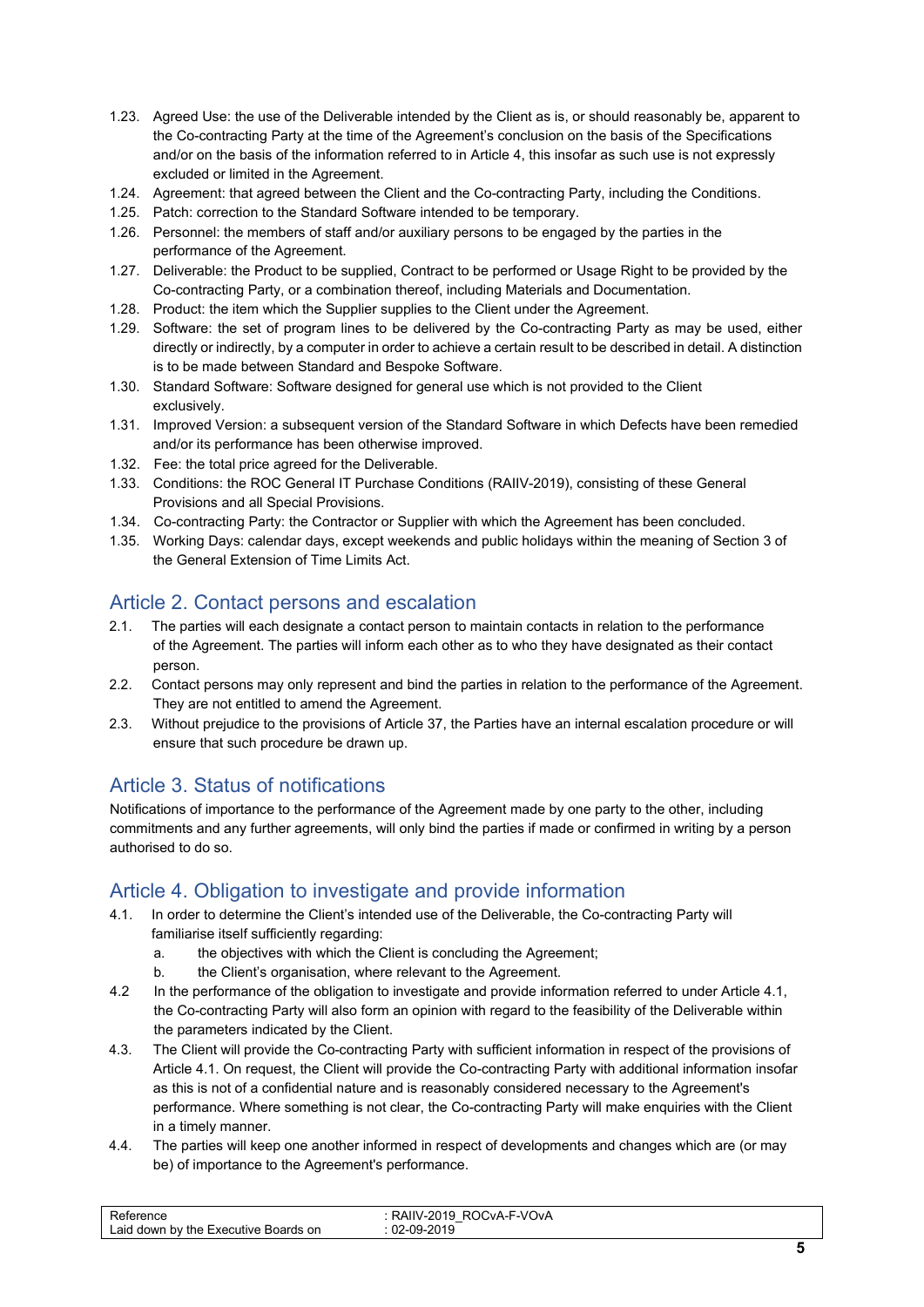- 1.23. Agreed Use: the use of the Deliverable intended by the Client as is, or should reasonably be, apparent to the Co-contracting Party at the time of the Agreement's conclusion on the basis of the Specifications and/or on the basis of the information referred to in Article 4, this insofar as such use is not expressly excluded or limited in the Agreement.
- 1.24. Agreement: that agreed between the Client and the Co-contracting Party, including the Conditions.
- 1.25. Patch: correction to the Standard Software intended to be temporary.
- 1.26. Personnel: the members of staff and/or auxiliary persons to be engaged by the parties in the performance of the Agreement.
- 1.27. Deliverable: the Product to be supplied, Contract to be performed or Usage Right to be provided by the Co-contracting Party, or a combination thereof, including Materials and Documentation.
- 1.28. Product: the item which the Supplier supplies to the Client under the Agreement.
- 1.29. Software: the set of program lines to be delivered by the Co-contracting Party as may be used, either directly or indirectly, by a computer in order to achieve a certain result to be described in detail. A distinction is to be made between Standard and Bespoke Software.
- 1.30. Standard Software: Software designed for general use which is not provided to the Client exclusively.
- 1.31. Improved Version: a subsequent version of the Standard Software in which Defects have been remedied and/or its performance has been otherwise improved.
- 1.32. Fee: the total price agreed for the Deliverable.
- 1.33. Conditions: the ROC General IT Purchase Conditions (RAIIV-2019), consisting of these General Provisions and all Special Provisions.
- 1.34. Co-contracting Party: the Contractor or Supplier with which the Agreement has been concluded.
- 1.35. Working Days: calendar days, except weekends and public holidays within the meaning of Section 3 of the General Extension of Time Limits Act.

#### <span id="page-4-0"></span>Article 2. Contact persons and escalation

- 2.1. The parties will each designate a contact person to maintain contacts in relation to the performance of the Agreement. The parties will inform each other as to who they have designated as their contact person.
- 2.2. Contact persons may only represent and bind the parties in relation to the performance of the Agreement. They are not entitled to amend the Agreement.
- 2.3. Without prejudice to the provisions of Article 37, the Parties have an internal escalation procedure or will ensure that such procedure be drawn up.

#### <span id="page-4-1"></span>Article 3. Status of notifications

Notifications of importance to the performance of the Agreement made by one party to the other, including commitments and any further agreements, will only bind the parties if made or confirmed in writing by a person authorised to do so.

#### <span id="page-4-2"></span>Article 4. Obligation to investigate and provide information

- 4.1. In order to determine the Client's intended use of the Deliverable, the Co-contracting Party will familiarise itself sufficiently regarding:
	- a. the objectives with which the Client is concluding the Agreement;
	- b. the Client's organisation, where relevant to the Agreement.
- 4.2 In the performance of the obligation to investigate and provide information referred to under Article 4.1, the Co-contracting Party will also form an opinion with regard to the feasibility of the Deliverable within the parameters indicated by the Client.
- 4.3. The Client will provide the Co-contracting Party with sufficient information in respect of the provisions of Article 4.1. On request, the Client will provide the Co-contracting Party with additional information insofar as this is not of a confidential nature and is reasonably considered necessary to the Agreement's performance. Where something is not clear, the Co-contracting Party will make enquiries with the Client in a timely manner.
- 4.4. The parties will keep one another informed in respect of developments and changes which are (or may be) of importance to the Agreement's performance.

| ∽<br>чих<br>∟aid<br>I down by the Executive E<br>⊪Boards on | CvA-F-VOvA<br>2010.<br>RC<br>-2019<br>.09.<br>◡∠ |  |
|-------------------------------------------------------------|--------------------------------------------------|--|
|                                                             |                                                  |  |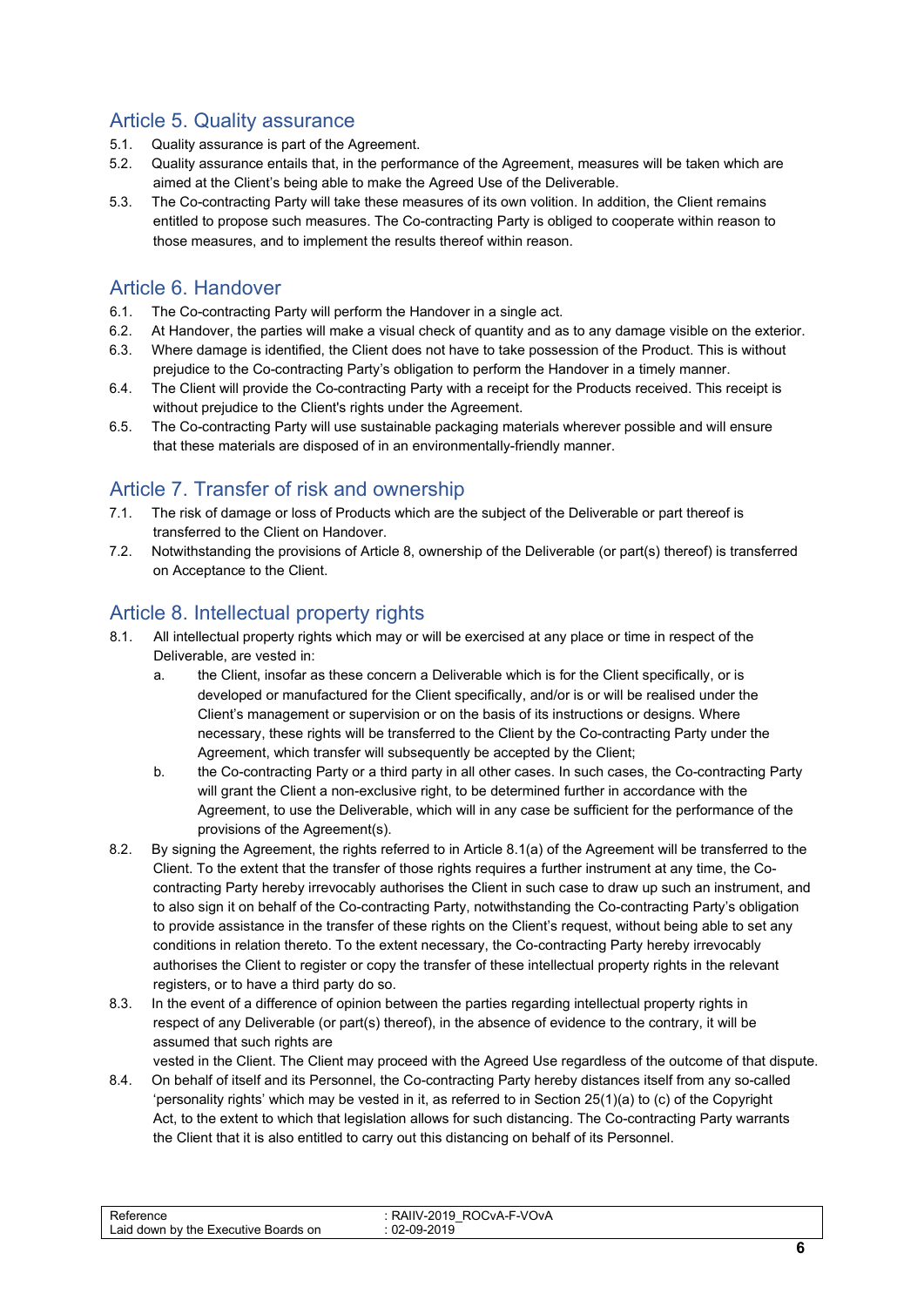#### <span id="page-5-0"></span>Article 5. Quality assurance

- 5.1. Quality assurance is part of the Agreement.
- 5.2. Quality assurance entails that, in the performance of the Agreement, measures will be taken which are aimed at the Client's being able to make the Agreed Use of the Deliverable.
- 5.3. The Co-contracting Party will take these measures of its own volition. In addition, the Client remains entitled to propose such measures. The Co-contracting Party is obliged to cooperate within reason to those measures, and to implement the results thereof within reason.

#### <span id="page-5-1"></span>Article 6. Handover

- 6.1. The Co-contracting Party will perform the Handover in a single act.
- 6.2. At Handover, the parties will make a visual check of quantity and as to any damage visible on the exterior.
- 6.3. Where damage is identified, the Client does not have to take possession of the Product. This is without prejudice to the Co-contracting Party's obligation to perform the Handover in a timely manner.
- 6.4. The Client will provide the Co-contracting Party with a receipt for the Products received. This receipt is without prejudice to the Client's rights under the Agreement.
- 6.5. The Co-contracting Party will use sustainable packaging materials wherever possible and will ensure that these materials are disposed of in an environmentally-friendly manner.

#### <span id="page-5-2"></span>Article 7. Transfer of risk and ownership

- 7.1. The risk of damage or loss of Products which are the subject of the Deliverable or part thereof is transferred to the Client on Handover.
- 7.2. Notwithstanding the provisions of Article 8, ownership of the Deliverable (or part(s) thereof) is transferred on Acceptance to the Client.

#### <span id="page-5-3"></span>Article 8. Intellectual property rights

- 8.1. All intellectual property rights which may or will be exercised at any place or time in respect of the Deliverable, are vested in:
	- a. the Client, insofar as these concern a Deliverable which is for the Client specifically, or is developed or manufactured for the Client specifically, and/or is or will be realised under the Client's management or supervision or on the basis of its instructions or designs. Where necessary, these rights will be transferred to the Client by the Co-contracting Party under the Agreement, which transfer will subsequently be accepted by the Client;
	- b. the Co-contracting Party or a third party in all other cases. In such cases, the Co-contracting Party will grant the Client a non-exclusive right, to be determined further in accordance with the Agreement, to use the Deliverable, which will in any case be sufficient for the performance of the provisions of the Agreement(s).
- 8.2. By signing the Agreement, the rights referred to in Article 8.1(a) of the Agreement will be transferred to the Client. To the extent that the transfer of those rights requires a further instrument at any time, the Cocontracting Party hereby irrevocably authorises the Client in such case to draw up such an instrument, and to also sign it on behalf of the Co-contracting Party, notwithstanding the Co-contracting Party's obligation to provide assistance in the transfer of these rights on the Client's request, without being able to set any conditions in relation thereto. To the extent necessary, the Co-contracting Party hereby irrevocably authorises the Client to register or copy the transfer of these intellectual property rights in the relevant registers, or to have a third party do so.
- 8.3. In the event of a difference of opinion between the parties regarding intellectual property rights in respect of any Deliverable (or part(s) thereof), in the absence of evidence to the contrary, it will be assumed that such rights are

vested in the Client. The Client may proceed with the Agreed Use regardless of the outcome of that dispute. 8.4. On behalf of itself and its Personnel, the Co-contracting Party hereby distances itself from any so-called 'personality rights' which may be vested in it, as referred to in Section 25(1)(a) to (c) of the Copyright

Act, to the extent to which that legislation allows for such distancing. The Co-contracting Party warrants the Client that it is also entitled to carry out this distancing on behalf of its Personnel.

| -F-VOvA<br>-<br>IIV-2019.<br>RAIIV<br>ROCvA-<br>Reference<br>02-09-2019<br>∟aid ′<br>I down by the Executive<br>Boards<br>on |  |
|------------------------------------------------------------------------------------------------------------------------------|--|
|------------------------------------------------------------------------------------------------------------------------------|--|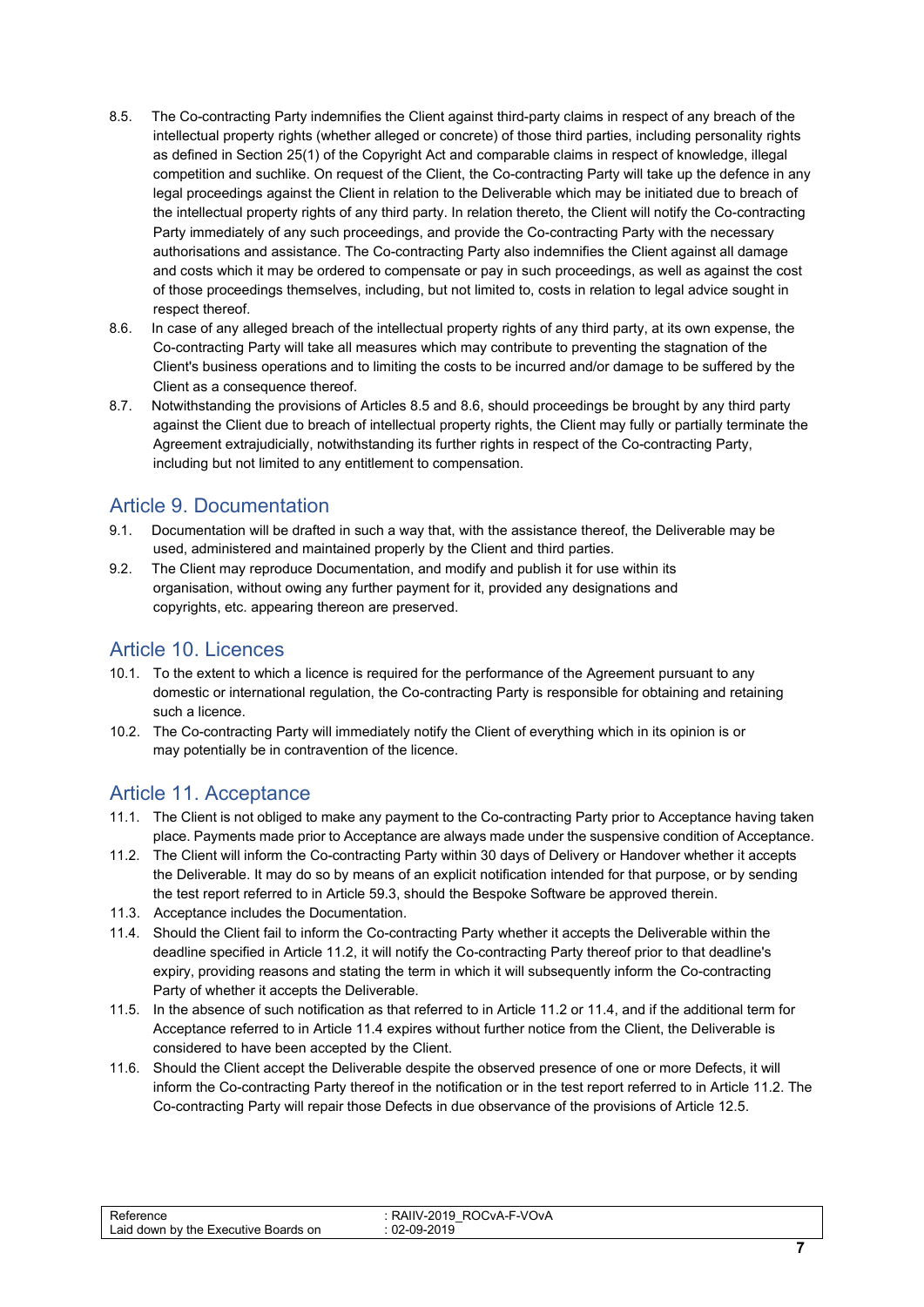- 8.5. The Co-contracting Party indemnifies the Client against third-party claims in respect of any breach of the intellectual property rights (whether alleged or concrete) of those third parties, including personality rights as defined in Section 25(1) of the Copyright Act and comparable claims in respect of knowledge, illegal competition and suchlike. On request of the Client, the Co-contracting Party will take up the defence in any legal proceedings against the Client in relation to the Deliverable which may be initiated due to breach of the intellectual property rights of any third party. In relation thereto, the Client will notify the Co-contracting Party immediately of any such proceedings, and provide the Co-contracting Party with the necessary authorisations and assistance. The Co-contracting Party also indemnifies the Client against all damage and costs which it may be ordered to compensate or pay in such proceedings, as well as against the cost of those proceedings themselves, including, but not limited to, costs in relation to legal advice sought in respect thereof.
- 8.6. In case of any alleged breach of the intellectual property rights of any third party, at its own expense, the Co-contracting Party will take all measures which may contribute to preventing the stagnation of the Client's business operations and to limiting the costs to be incurred and/or damage to be suffered by the Client as a consequence thereof.
- 8.7. Notwithstanding the provisions of Articles 8.5 and 8.6, should proceedings be brought by any third party against the Client due to breach of intellectual property rights, the Client may fully or partially terminate the Agreement extrajudicially, notwithstanding its further rights in respect of the Co-contracting Party, including but not limited to any entitlement to compensation.

#### <span id="page-6-0"></span>Article 9. Documentation

- 9.1. Documentation will be drafted in such a way that, with the assistance thereof, the Deliverable may be used, administered and maintained properly by the Client and third parties.
- 9.2. The Client may reproduce Documentation, and modify and publish it for use within its organisation, without owing any further payment for it, provided any designations and copyrights, etc. appearing thereon are preserved.

#### <span id="page-6-1"></span>Article 10. Licences

- 10.1. To the extent to which a licence is required for the performance of the Agreement pursuant to any domestic or international regulation, the Co-contracting Party is responsible for obtaining and retaining such a licence.
- 10.2. The Co-contracting Party will immediately notify the Client of everything which in its opinion is or may potentially be in contravention of the licence.

#### <span id="page-6-2"></span>Article 11. Acceptance

- 11.1. The Client is not obliged to make any payment to the Co-contracting Party prior to Acceptance having taken place. Payments made prior to Acceptance are always made under the suspensive condition of Acceptance.
- 11.2. The Client will inform the Co-contracting Party within 30 days of Delivery or Handover whether it accepts the Deliverable. It may do so by means of an explicit notification intended for that purpose, or by sending the test report referred to in Article 59.3, should the Bespoke Software be approved therein.
- 11.3. Acceptance includes the Documentation.
- 11.4. Should the Client fail to inform the Co-contracting Party whether it accepts the Deliverable within the deadline specified in Article 11.2, it will notify the Co-contracting Party thereof prior to that deadline's expiry, providing reasons and stating the term in which it will subsequently inform the Co-contracting Party of whether it accepts the Deliverable.
- 11.5. In the absence of such notification as that referred to in Article 11.2 or 11.4, and if the additional term for Acceptance referred to in Article 11.4 expires without further notice from the Client, the Deliverable is considered to have been accepted by the Client.
- 11.6. Should the Client accept the Deliverable despite the observed presence of one or more Defects, it will inform the Co-contracting Party thereof in the notification or in the test report referred to in Article 11.2. The Co-contracting Party will repair those Defects in due observance of the provisions of Article 12.5.

| erence<br>Laid down by the Executive<br>on.<br>Boards | ROCVA-F-VOVA<br><b>RAIIV-2019</b><br>$-$<br>-09-2019<br>$02 -$ |
|-------------------------------------------------------|----------------------------------------------------------------|
|-------------------------------------------------------|----------------------------------------------------------------|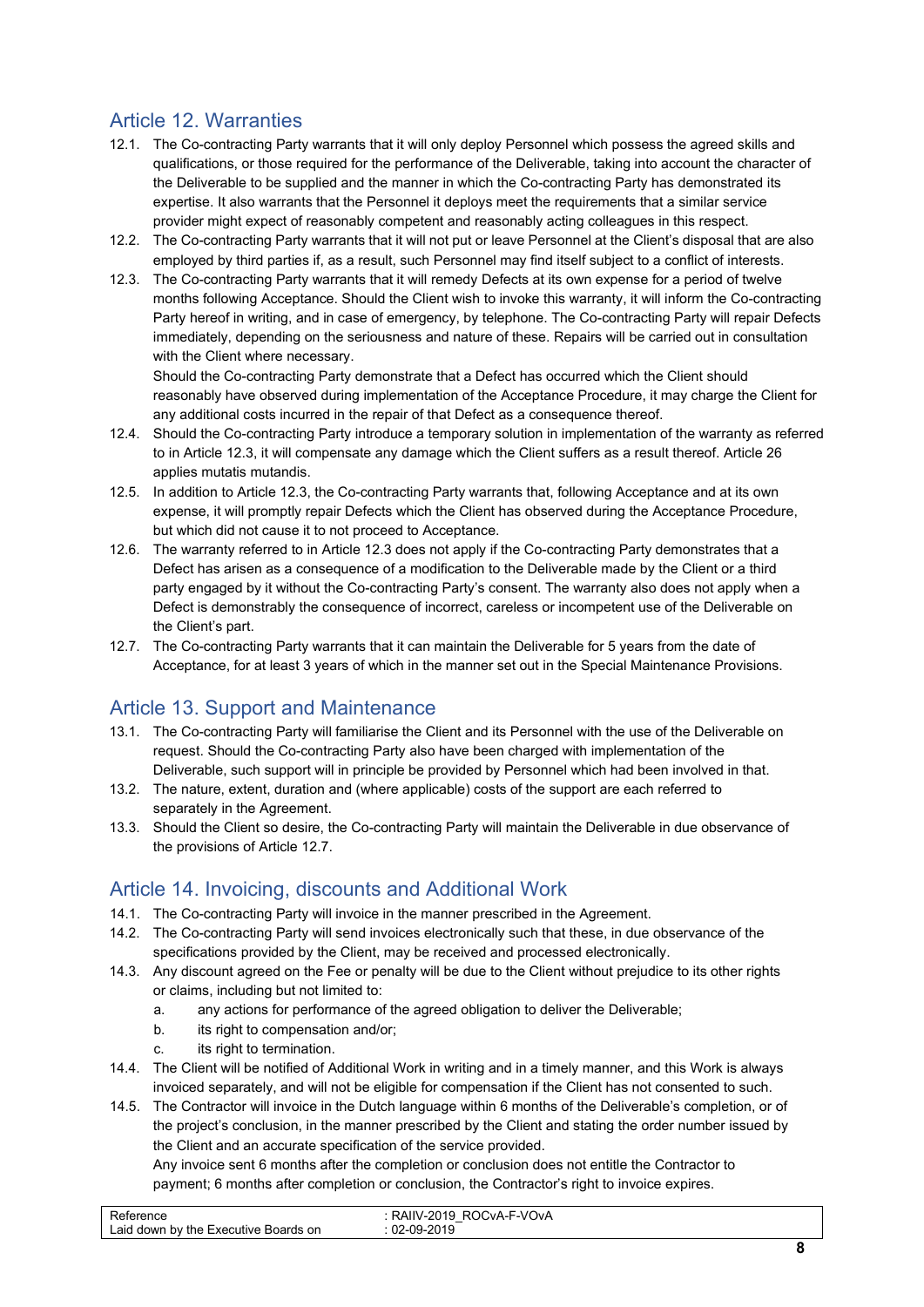### <span id="page-7-0"></span>Article 12. Warranties

- 12.1. The Co-contracting Party warrants that it will only deploy Personnel which possess the agreed skills and qualifications, or those required for the performance of the Deliverable, taking into account the character of the Deliverable to be supplied and the manner in which the Co-contracting Party has demonstrated its expertise. It also warrants that the Personnel it deploys meet the requirements that a similar service provider might expect of reasonably competent and reasonably acting colleagues in this respect.
- 12.2. The Co-contracting Party warrants that it will not put or leave Personnel at the Client's disposal that are also employed by third parties if, as a result, such Personnel may find itself subject to a conflict of interests.
- 12.3. The Co-contracting Party warrants that it will remedy Defects at its own expense for a period of twelve months following Acceptance. Should the Client wish to invoke this warranty, it will inform the Co-contracting Party hereof in writing, and in case of emergency, by telephone. The Co-contracting Party will repair Defects immediately, depending on the seriousness and nature of these. Repairs will be carried out in consultation with the Client where necessary.

Should the Co-contracting Party demonstrate that a Defect has occurred which the Client should reasonably have observed during implementation of the Acceptance Procedure, it may charge the Client for any additional costs incurred in the repair of that Defect as a consequence thereof.

- 12.4. Should the Co-contracting Party introduce a temporary solution in implementation of the warranty as referred to in Article 12.3, it will compensate any damage which the Client suffers as a result thereof. Article 26 applies mutatis mutandis.
- 12.5. In addition to Article 12.3, the Co-contracting Party warrants that, following Acceptance and at its own expense, it will promptly repair Defects which the Client has observed during the Acceptance Procedure, but which did not cause it to not proceed to Acceptance.
- 12.6. The warranty referred to in Article 12.3 does not apply if the Co-contracting Party demonstrates that a Defect has arisen as a consequence of a modification to the Deliverable made by the Client or a third party engaged by it without the Co-contracting Party's consent. The warranty also does not apply when a Defect is demonstrably the consequence of incorrect, careless or incompetent use of the Deliverable on the Client's part.
- 12.7. The Co-contracting Party warrants that it can maintain the Deliverable for 5 years from the date of Acceptance, for at least 3 years of which in the manner set out in the Special Maintenance Provisions.

#### <span id="page-7-1"></span>Article 13. Support and Maintenance

- 13.1. The Co-contracting Party will familiarise the Client and its Personnel with the use of the Deliverable on request. Should the Co-contracting Party also have been charged with implementation of the Deliverable, such support will in principle be provided by Personnel which had been involved in that.
- 13.2. The nature, extent, duration and (where applicable) costs of the support are each referred to separately in the Agreement.
- 13.3. Should the Client so desire, the Co-contracting Party will maintain the Deliverable in due observance of the provisions of Article 12.7.

#### <span id="page-7-2"></span>Article 14. Invoicing, discounts and Additional Work

- 14.1. The Co-contracting Party will invoice in the manner prescribed in the Agreement.
- 14.2. The Co-contracting Party will send invoices electronically such that these, in due observance of the specifications provided by the Client, may be received and processed electronically.
- 14.3. Any discount agreed on the Fee or penalty will be due to the Client without prejudice to its other rights or claims, including but not limited to:
	- a. any actions for performance of the agreed obligation to deliver the Deliverable;
	- b. its right to compensation and/or;
	- c. its right to termination.
- 14.4. The Client will be notified of Additional Work in writing and in a timely manner, and this Work is always invoiced separately, and will not be eligible for compensation if the Client has not consented to such.
- 14.5. The Contractor will invoice in the Dutch language within 6 months of the Deliverable's completion, or of the project's conclusion, in the manner prescribed by the Client and stating the order number issued by the Client and an accurate specification of the service provided.

Any invoice sent 6 months after the completion or conclusion does not entitle the Contractor to payment; 6 months after completion or conclusion, the Contractor's right to invoice expires.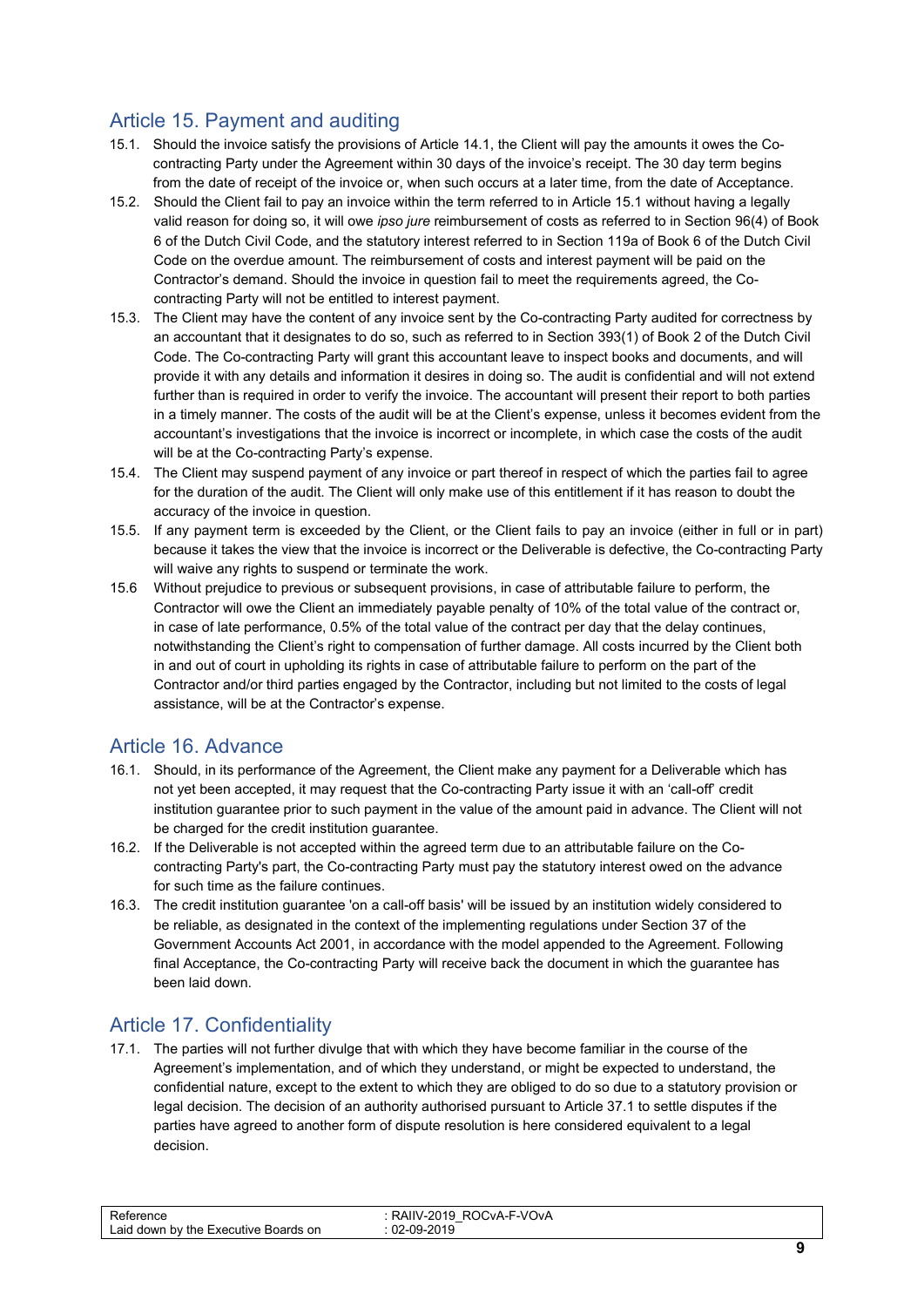#### <span id="page-8-0"></span>Article 15. Payment and auditing

- 15.1. Should the invoice satisfy the provisions of Article 14.1, the Client will pay the amounts it owes the Cocontracting Party under the Agreement within 30 days of the invoice's receipt. The 30 day term begins from the date of receipt of the invoice or, when such occurs at a later time, from the date of Acceptance.
- 15.2. Should the Client fail to pay an invoice within the term referred to in Article 15.1 without having a legally valid reason for doing so, it will owe *ipso jure* reimbursement of costs as referred to in Section 96(4) of Book 6 of the Dutch Civil Code, and the statutory interest referred to in Section 119a of Book 6 of the Dutch Civil Code on the overdue amount. The reimbursement of costs and interest payment will be paid on the Contractor's demand. Should the invoice in question fail to meet the requirements agreed, the Cocontracting Party will not be entitled to interest payment.
- 15.3. The Client may have the content of any invoice sent by the Co-contracting Party audited for correctness by an accountant that it designates to do so, such as referred to in Section 393(1) of Book 2 of the Dutch Civil Code. The Co-contracting Party will grant this accountant leave to inspect books and documents, and will provide it with any details and information it desires in doing so. The audit is confidential and will not extend further than is required in order to verify the invoice. The accountant will present their report to both parties in a timely manner. The costs of the audit will be at the Client's expense, unless it becomes evident from the accountant's investigations that the invoice is incorrect or incomplete, in which case the costs of the audit will be at the Co-contracting Party's expense.
- 15.4. The Client may suspend payment of any invoice or part thereof in respect of which the parties fail to agree for the duration of the audit. The Client will only make use of this entitlement if it has reason to doubt the accuracy of the invoice in question.
- 15.5. If any payment term is exceeded by the Client, or the Client fails to pay an invoice (either in full or in part) because it takes the view that the invoice is incorrect or the Deliverable is defective, the Co-contracting Party will waive any rights to suspend or terminate the work.
- 15.6 Without prejudice to previous or subsequent provisions, in case of attributable failure to perform, the Contractor will owe the Client an immediately payable penalty of 10% of the total value of the contract or, in case of late performance, 0.5% of the total value of the contract per day that the delay continues, notwithstanding the Client's right to compensation of further damage. All costs incurred by the Client both in and out of court in upholding its rights in case of attributable failure to perform on the part of the Contractor and/or third parties engaged by the Contractor, including but not limited to the costs of legal assistance, will be at the Contractor's expense.

#### <span id="page-8-1"></span>Article 16. Advance

- 16.1. Should, in its performance of the Agreement, the Client make any payment for a Deliverable which has not yet been accepted, it may request that the Co-contracting Party issue it with an 'call-off' credit institution guarantee prior to such payment in the value of the amount paid in advance. The Client will not be charged for the credit institution guarantee.
- 16.2. If the Deliverable is not accepted within the agreed term due to an attributable failure on the Cocontracting Party's part, the Co-contracting Party must pay the statutory interest owed on the advance for such time as the failure continues.
- 16.3. The credit institution guarantee 'on a call-off basis' will be issued by an institution widely considered to be reliable, as designated in the context of the implementing regulations under Section 37 of the Government Accounts Act 2001, in accordance with the model appended to the Agreement. Following final Acceptance, the Co-contracting Party will receive back the document in which the guarantee has been laid down.

### <span id="page-8-2"></span>Article 17. Confidentiality

17.1. The parties will not further divulge that with which they have become familiar in the course of the Agreement's implementation, and of which they understand, or might be expected to understand, the confidential nature, except to the extent to which they are obliged to do so due to a statutory provision or legal decision. The decision of an authority authorised pursuant to Article 37.1 to settle disputes if the parties have agreed to another form of dispute resolution is here considered equivalent to a legal decision.

| $-$<br>-09-2019<br>$02 - 0$<br>aid.<br>down by the I<br>Boards on<br>Executive |
|--------------------------------------------------------------------------------|
|--------------------------------------------------------------------------------|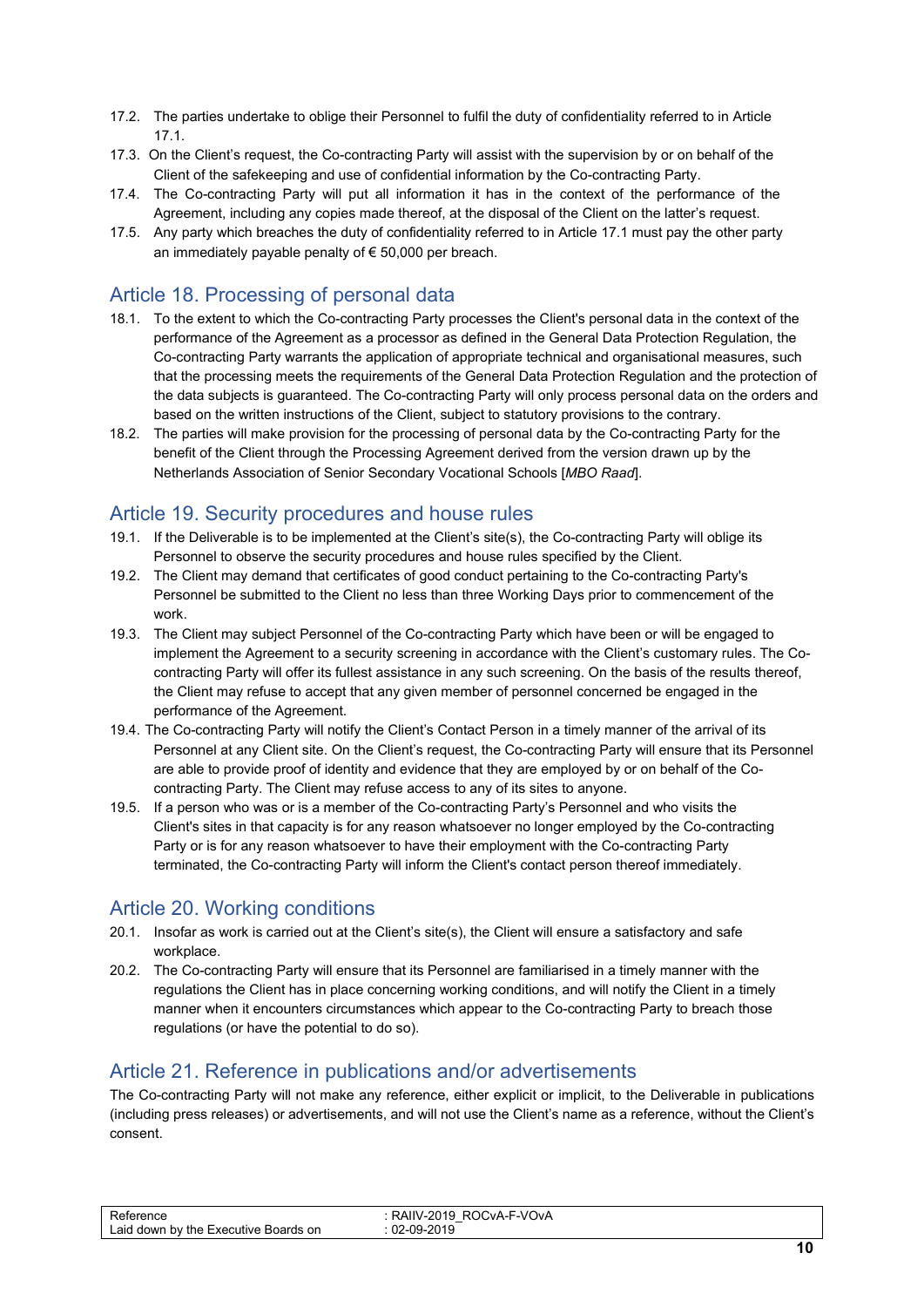- <span id="page-9-4"></span>17.2. The parties undertake to oblige their Personnel to fulfil the duty of confidentiality referred to in Article 17.1.
- 17.3. On the Client's request, the Co-contracting Party will assist with the supervision by or on behalf of the Client of the safekeeping and use of confidential information by the Co-contracting Party.
- 17.4. The Co-contracting Party will put all information it has in the context of the performance of the Agreement, including any copies made thereof, at the disposal of the Client on the latter's request.
- 17.5. Any party which breaches the duty of confidentiality referred to in Article 17.1 must pay the other party an immediately payable penalty of € 50,000 per breach.

#### <span id="page-9-0"></span>Article 18. Processing of personal data

- 18.1. To the extent to which the Co-contracting Party processes the Client's personal data in the context of the performance of the Agreement as a processor as defined in the General Data Protection Regulation, the Co-contracting Party warrants the application of appropriate technical and organisational measures, such that the processing meets the requirements of the General Data Protection Regulation and the protection of the data subjects is guaranteed. The Co-contracting Party will only process personal data on the orders and based on the written instructions of the Client, subject to statutory provisions to the contrary.
- 18.2. The parties will make provision for the processing of personal data by the Co-contracting Party for the benefit of the Client through the Processing Agreement derived from the version drawn up by the Netherlands Association of Senior Secondary Vocational Schools [*MBO Raad*].

#### <span id="page-9-1"></span>Article 19. Security procedures and house rules

- 19.1. If the Deliverable is to be implemented at the Client's site(s), the Co-contracting Party will oblige its Personnel to observe the security procedures and house rules specified by the Client.
- 19.2. The Client may demand that certificates of good conduct pertaining to the Co-contracting Party's Personnel be submitted to the Client no less than three Working Days prior to commencement of the work.
- 19.3. The Client may subject Personnel of the Co-contracting Party which have been or will be engaged to implement the Agreement to a security screening in accordance with the Client's customary rules. The Cocontracting Party will offer its fullest assistance in any such screening. On the basis of the results thereof, the Client may refuse to accept that any given member of personnel concerned be engaged in the performance of the Agreement.
- 19.4. The Co-contracting Party will notify the Client's Contact Person in a timely manner of the arrival of its Personnel at any Client site. On the Client's request, the Co-contracting Party will ensure that its Personnel are able to provide proof of identity and evidence that they are employed by or on behalf of the Cocontracting Party. The Client may refuse access to any of its sites to anyone.
- 19.5. If a person who was or is a member of the Co-contracting Party's Personnel and who visits the Client's sites in that capacity is for any reason whatsoever no longer employed by the Co-contracting Party or is for any reason whatsoever to have their employment with the Co-contracting Party terminated, the Co-contracting Party will inform the Client's contact person thereof immediately.

#### <span id="page-9-2"></span>Article 20. Working conditions

- 20.1. Insofar as work is carried out at the Client's site(s), the Client will ensure a satisfactory and safe workplace.
- 20.2. The Co-contracting Party will ensure that its Personnel are familiarised in a timely manner with the regulations the Client has in place concerning working conditions, and will notify the Client in a timely manner when it encounters circumstances which appear to the Co-contracting Party to breach those regulations (or have the potential to do so).

#### <span id="page-9-3"></span>Article 21. Reference in publications and/or advertisements

The Co-contracting Party will not make any reference, either explicit or implicit, to the Deliverable in publications (including press releases) or advertisements, and will not use the Client's name as a reference, without the Client's consent.

| D.<br>ence<br>Laid<br>erds on<br>down<br>, Executive<br>' the<br>hv<br>-Boar | -VOvA-<br>`VA-F<br>. .<br>11111<br>0.10<br>$\sim$<br>$\sim$<br>в.<br>____ |      |
|------------------------------------------------------------------------------|---------------------------------------------------------------------------|------|
|                                                                              |                                                                           | $ -$ |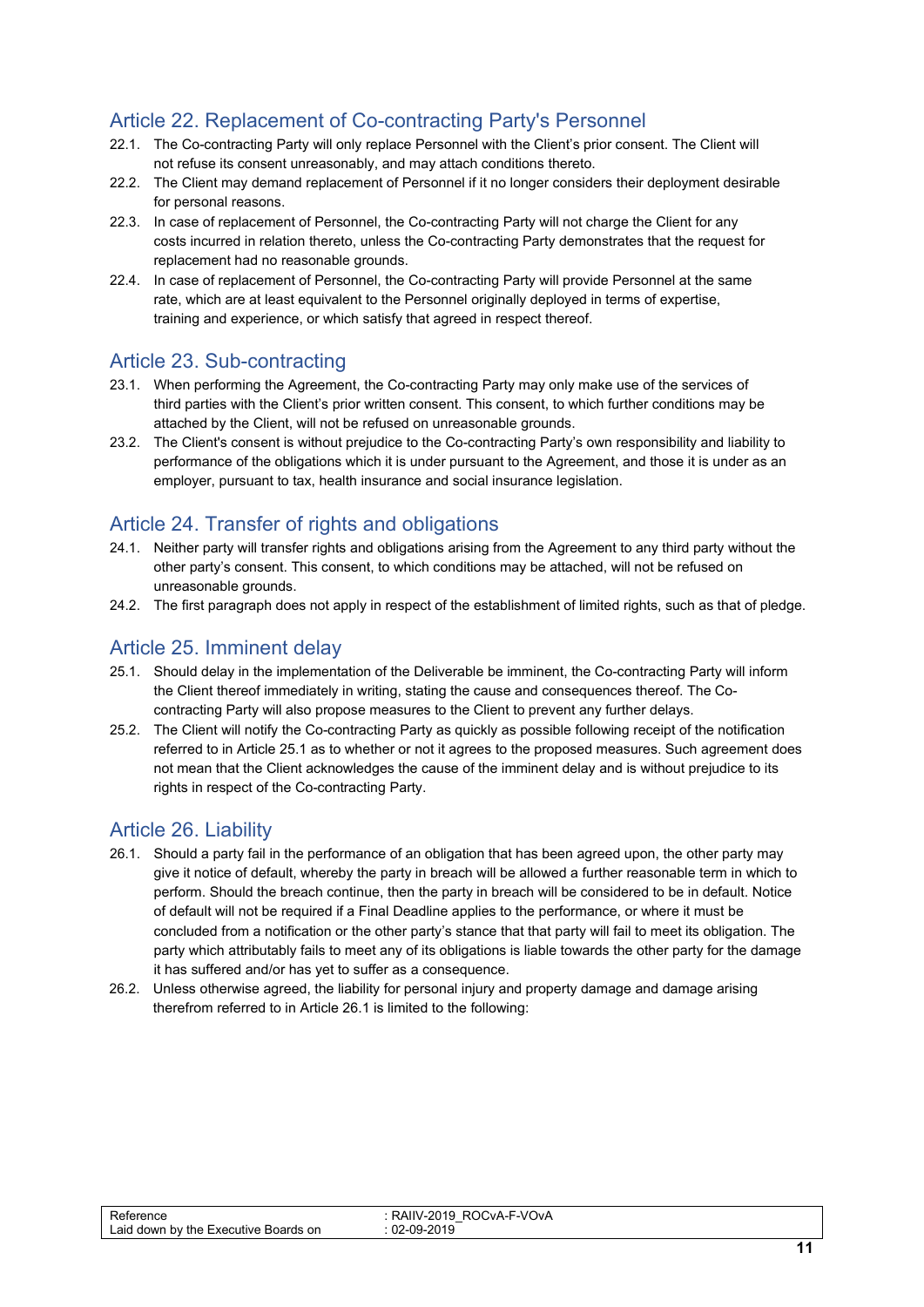### Article 22. Replacement of Co-contracting Party's Personnel

- 22.1. The Co-contracting Party will only replace Personnel with the Client's prior consent. The Client will not refuse its consent unreasonably, and may attach conditions thereto.
- 22.2. The Client may demand replacement of Personnel if it no longer considers their deployment desirable for personal reasons.
- 22.3. In case of replacement of Personnel, the Co-contracting Party will not charge the Client for any costs incurred in relation thereto, unless the Co-contracting Party demonstrates that the request for replacement had no reasonable grounds.
- 22.4. In case of replacement of Personnel, the Co-contracting Party will provide Personnel at the same rate, which are at least equivalent to the Personnel originally deployed in terms of expertise, training and experience, or which satisfy that agreed in respect thereof.

#### <span id="page-10-0"></span>Article 23. Sub-contracting

- 23.1. When performing the Agreement, the Co-contracting Party may only make use of the services of third parties with the Client's prior written consent. This consent, to which further conditions may be attached by the Client, will not be refused on unreasonable grounds.
- 23.2. The Client's consent is without prejudice to the Co-contracting Party's own responsibility and liability to performance of the obligations which it is under pursuant to the Agreement, and those it is under as an employer, pursuant to tax, health insurance and social insurance legislation.

#### <span id="page-10-1"></span>Article 24. Transfer of rights and obligations

- 24.1. Neither party will transfer rights and obligations arising from the Agreement to any third party without the other party's consent. This consent, to which conditions may be attached, will not be refused on unreasonable grounds.
- 24.2. The first paragraph does not apply in respect of the establishment of limited rights, such as that of pledge.

#### <span id="page-10-2"></span>Article 25. Imminent delay

- 25.1. Should delay in the implementation of the Deliverable be imminent, the Co-contracting Party will inform the Client thereof immediately in writing, stating the cause and consequences thereof. The Cocontracting Party will also propose measures to the Client to prevent any further delays.
- 25.2. The Client will notify the Co-contracting Party as quickly as possible following receipt of the notification referred to in Article 25.1 as to whether or not it agrees to the proposed measures. Such agreement does not mean that the Client acknowledges the cause of the imminent delay and is without prejudice to its rights in respect of the Co-contracting Party.

#### <span id="page-10-3"></span>Article 26. Liability

- 26.1. Should a party fail in the performance of an obligation that has been agreed upon, the other party may give it notice of default, whereby the party in breach will be allowed a further reasonable term in which to perform. Should the breach continue, then the party in breach will be considered to be in default. Notice of default will not be required if a Final Deadline applies to the performance, or where it must be concluded from a notification or the other party's stance that that party will fail to meet its obligation. The party which attributably fails to meet any of its obligations is liable towards the other party for the damage it has suffered and/or has yet to suffer as a consequence.
- 26.2. Unless otherwise agreed, the liability for personal injury and property damage and damage arising therefrom referred to in Article 26.1 is limited to the following:

| rence<br>∟aid<br>I down by the<br>Boards on<br>Executive | ™-VOvA<br>$\overline{\mathbf{z}}$<br>.vA<br>$\mathcal{M}$<br>RAIIV<br>-<br><b>ZUTY</b><br>. v - .<br>0010<br>.na.<br>ΩΩ<br>__ |     |
|----------------------------------------------------------|-------------------------------------------------------------------------------------------------------------------------------|-----|
|                                                          |                                                                                                                               | - - |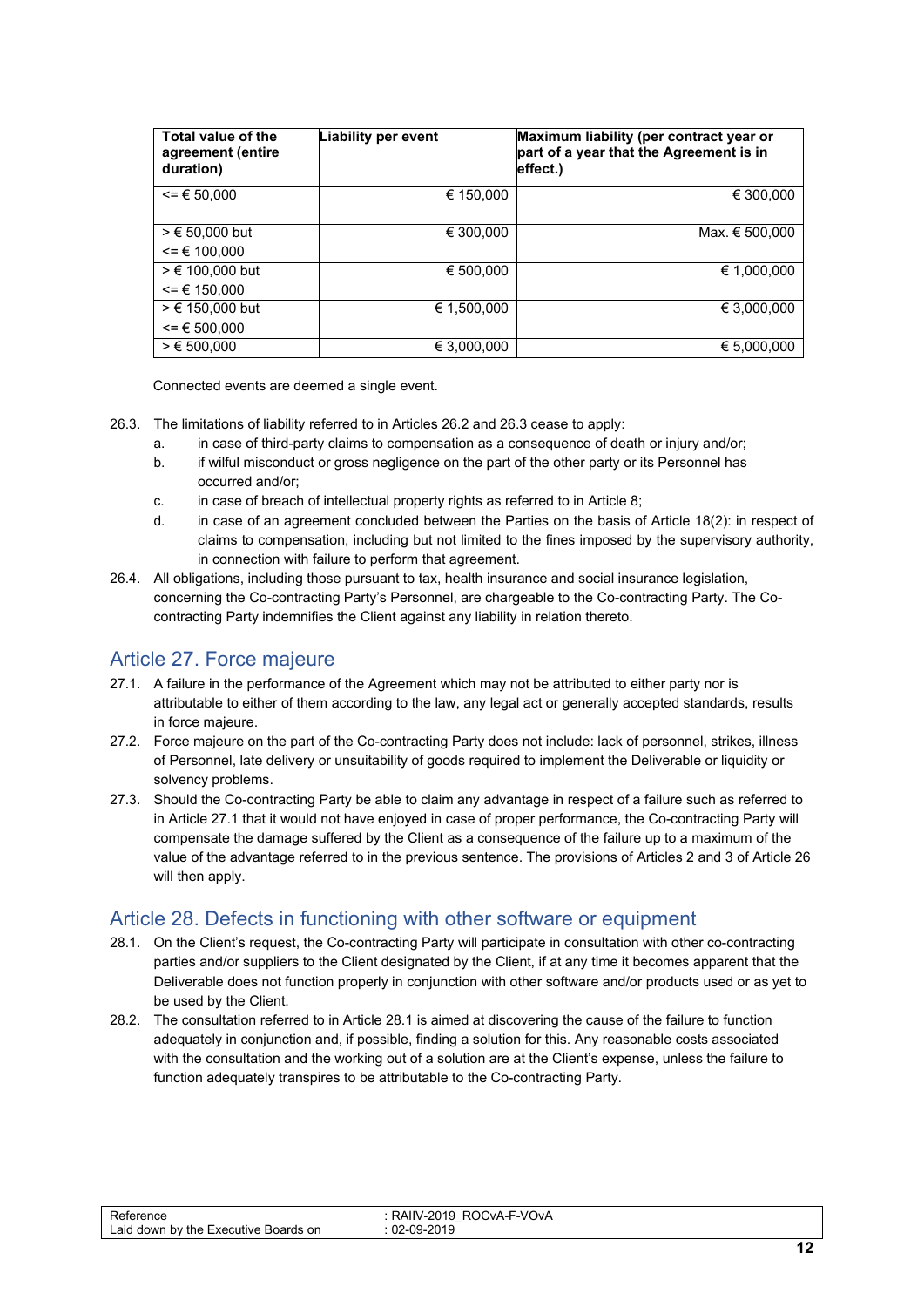| Total value of the<br>agreement (entire<br>duration) | <b>Liability per event</b> | Maximum liability (per contract year or<br>part of a year that the Agreement is in<br>effect.) |
|------------------------------------------------------|----------------------------|------------------------------------------------------------------------------------------------|
| $\leq$ $\leq$ 50.000                                 | € 150,000                  | € 300,000                                                                                      |
| $> € 50,000$ but                                     | € 300,000                  | Max. € 500,000                                                                                 |
| $= 6 100.000$                                        |                            |                                                                                                |
| $> € 100.000$ but                                    | € 500.000                  | € 1.000.000                                                                                    |
| $= 6 150.000$                                        |                            |                                                                                                |
| $> € 150,000$ but                                    | € 1.500.000                | € 3,000,000                                                                                    |
| $\leq$ $\in$ 500,000                                 |                            |                                                                                                |
| > € 500.000                                          | € 3,000,000                | € 5,000,000                                                                                    |

Connected events are deemed a single event.

- <span id="page-11-2"></span>26.3. The limitations of liability referred to in Articles 26.2 and 26.3 cease to apply:
	- a. in case of third-party claims to compensation as a consequence of death or injury and/or;
	- b. if wilful misconduct or gross negligence on the part of the other party or its Personnel has occurred and/or;
	- c. in case of breach of intellectual property rights as referred to in Article 8;
	- d. in case of an agreement concluded between the Parties on the basis of Article 18(2): in respect of claims to compensation, including but not limited to the fines imposed by the supervisory authority, in connection with failure to perform that agreement.
- 26.4. All obligations, including those pursuant to tax, health insurance and social insurance legislation, concerning the Co-contracting Party's Personnel, are chargeable to the Co-contracting Party. The Cocontracting Party indemnifies the Client against any liability in relation thereto.

#### <span id="page-11-0"></span>Article 27. Force majeure

- 27.1. A failure in the performance of the Agreement which may not be attributed to either party nor is attributable to either of them according to the law, any legal act or generally accepted standards, results in force majeure.
- 27.2. Force majeure on the part of the Co-contracting Party does not include: lack of personnel, strikes, illness of Personnel, late delivery or unsuitability of goods required to implement the Deliverable or liquidity or solvency problems.
- 27.3. Should the Co-contracting Party be able to claim any advantage in respect of a failure such as referred to in Article 27.1 that it would not have enjoyed in case of proper performance, the Co-contracting Party will compensate the damage suffered by the Client as a consequence of the failure up to a maximum of the value of the advantage referred to in the previous sentence. The provisions of Articles 2 and 3 of Article 26 will then apply.

#### <span id="page-11-1"></span>Article 28. Defects in functioning with other software or equipment

- 28.1. On the Client's request, the Co-contracting Party will participate in consultation with other co-contracting parties and/or suppliers to the Client designated by the Client, if at any time it becomes apparent that the Deliverable does not function properly in conjunction with other software and/or products used or as yet to be used by the Client.
- 28.2. The consultation referred to in Article 28.1 is aimed at discovering the cause of the failure to function adequately in conjunction and, if possible, finding a solution for this. Any reasonable costs associated with the consultation and the working out of a solution are at the Client's expense, unless the failure to function adequately transpires to be attributable to the Co-contracting Party.

| $\overline{\phantom{0}}$<br>arence<br>∟aid<br>Executive<br>or<br>down by<br>the<br>Boards | F-VOvA<br>$\cdot$ $\cdot$<br>NД.<br>RO K<br>-2014<br>137113<br>∼<br>.na<br>. .<br>____ |      |
|-------------------------------------------------------------------------------------------|----------------------------------------------------------------------------------------|------|
|                                                                                           |                                                                                        | $ -$ |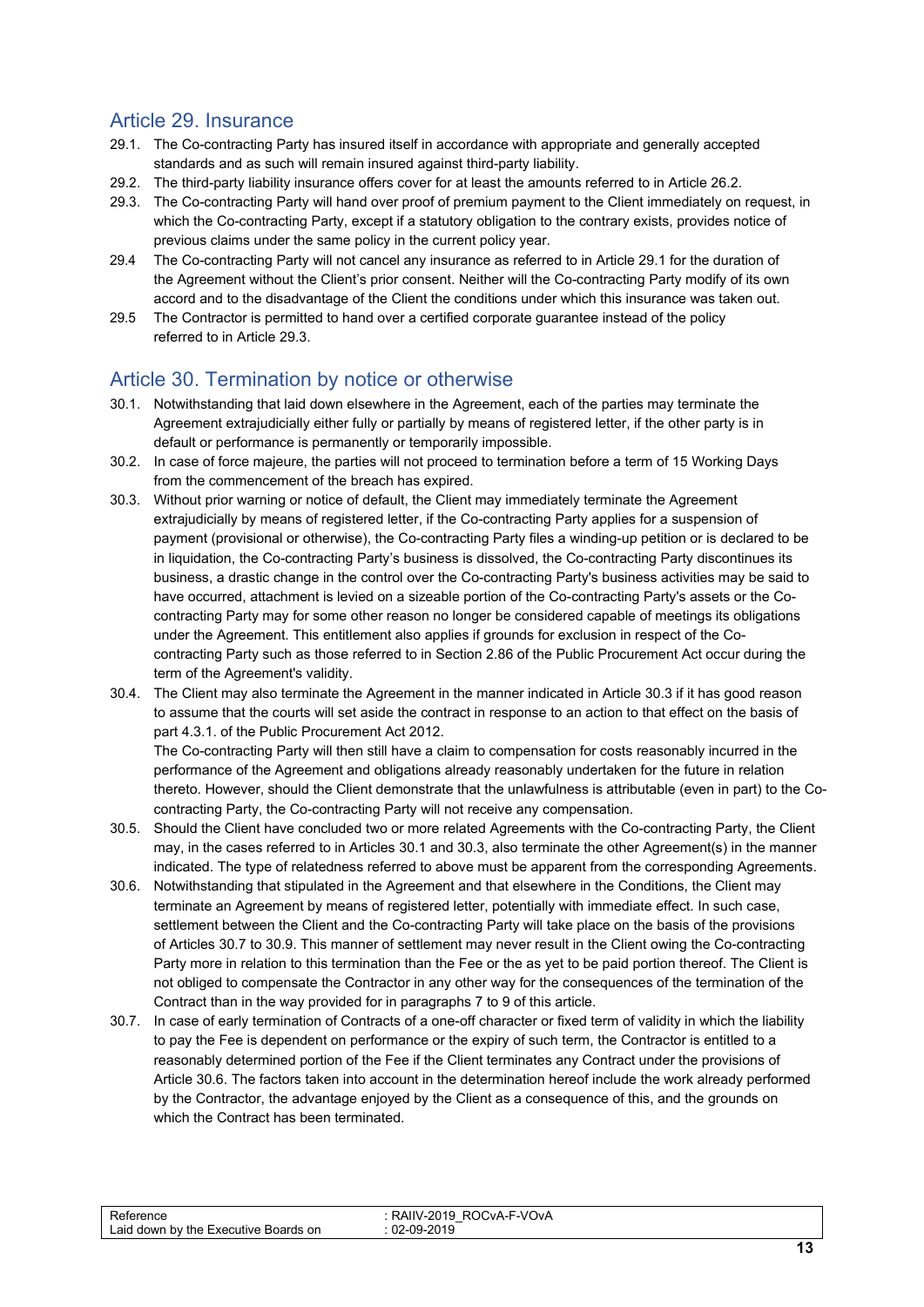#### Article 29. Insurance

- 29.1. The Co-contracting Party has insured itself in accordance with appropriate and generally accepted standards and as such will remain insured against third-party liability.
- 29.2. The third-party liability insurance offers cover for at least the amounts referred to in Article 26.2.
- 29.3. The Co-contracting Party will hand over proof of premium payment to the Client immediately on request, in which the Co-contracting Party, except if a statutory obligation to the contrary exists, provides notice of previous claims under the same policy in the current policy year.
- 29.4 The Co-contracting Party will not cancel any insurance as referred to in Article 29.1 for the duration of the Agreement without the Client's prior consent. Neither will the Co-contracting Party modify of its own accord and to the disadvantage of the Client the conditions under which this insurance was taken out.
- 29.5 The Contractor is permitted to hand over a certified corporate guarantee instead of the policy referred to in Article 29.3.

#### <span id="page-12-0"></span>Article 30. Termination by notice or otherwise

- 30.1. Notwithstanding that laid down elsewhere in the Agreement, each of the parties may terminate the Agreement extrajudicially either fully or partially by means of registered letter, if the other party is in default or performance is permanently or temporarily impossible.
- 30.2. In case of force majeure, the parties will not proceed to termination before a term of 15 Working Days from the commencement of the breach has expired.
- 30.3. Without prior warning or notice of default, the Client may immediately terminate the Agreement extrajudicially by means of registered letter, if the Co-contracting Party applies for a suspension of payment (provisional or otherwise), the Co-contracting Party files a winding-up petition or is declared to be in liquidation, the Co-contracting Party's business is dissolved, the Co-contracting Party discontinues its business, a drastic change in the control over the Co-contracting Party's business activities may be said to have occurred, attachment is levied on a sizeable portion of the Co-contracting Party's assets or the Cocontracting Party may for some other reason no longer be considered capable of meetings its obligations under the Agreement. This entitlement also applies if grounds for exclusion in respect of the Cocontracting Party such as those referred to in Section 2.86 of the Public Procurement Act occur during the term of the Agreement's validity.
- 30.4. The Client may also terminate the Agreement in the manner indicated in Article 30.3 if it has good reason to assume that the courts will set aside the contract in response to an action to that effect on the basis of part 4.3.1. of the Public Procurement Act 2012.

The Co-contracting Party will then still have a claim to compensation for costs reasonably incurred in the performance of the Agreement and obligations already reasonably undertaken for the future in relation thereto. However, should the Client demonstrate that the unlawfulness is attributable (even in part) to the Cocontracting Party, the Co-contracting Party will not receive any compensation.

- 30.5. Should the Client have concluded two or more related Agreements with the Co-contracting Party, the Client may, in the cases referred to in Articles 30.1 and 30.3, also terminate the other Agreement(s) in the manner indicated. The type of relatedness referred to above must be apparent from the corresponding Agreements.
- 30.6. Notwithstanding that stipulated in the Agreement and that elsewhere in the Conditions, the Client may terminate an Agreement by means of registered letter, potentially with immediate effect. In such case, settlement between the Client and the Co-contracting Party will take place on the basis of the provisions of Articles 30.7 to 30.9. This manner of settlement may never result in the Client owing the Co-contracting Party more in relation to this termination than the Fee or the as yet to be paid portion thereof. The Client is not obliged to compensate the Contractor in any other way for the consequences of the termination of the Contract than in the way provided for in paragraphs 7 to 9 of this article.
- 30.7. In case of early termination of Contracts of a one-off character or fixed term of validity in which the liability to pay the Fee is dependent on performance or the expiry of such term, the Contractor is entitled to a reasonably determined portion of the Fee if the Client terminates any Contract under the provisions of Article 30.6. The factors taken into account in the determination hereof include the work already performed by the Contractor, the advantage enjoyed by the Client as a consequence of this, and the grounds on which the Contract has been terminated.

| -<br>arence<br>∟aid<br>or<br>l down by the<br>Boards.<br>Executive<br>$\overline{\phantom{a}}$ | <b>E-VOVA</b><br>$\cdot$ . $\Lambda$<br><b>IVAIL</b><br>ּ<br>02<br>.na<br>____ |      |
|------------------------------------------------------------------------------------------------|--------------------------------------------------------------------------------|------|
|                                                                                                |                                                                                | $ -$ |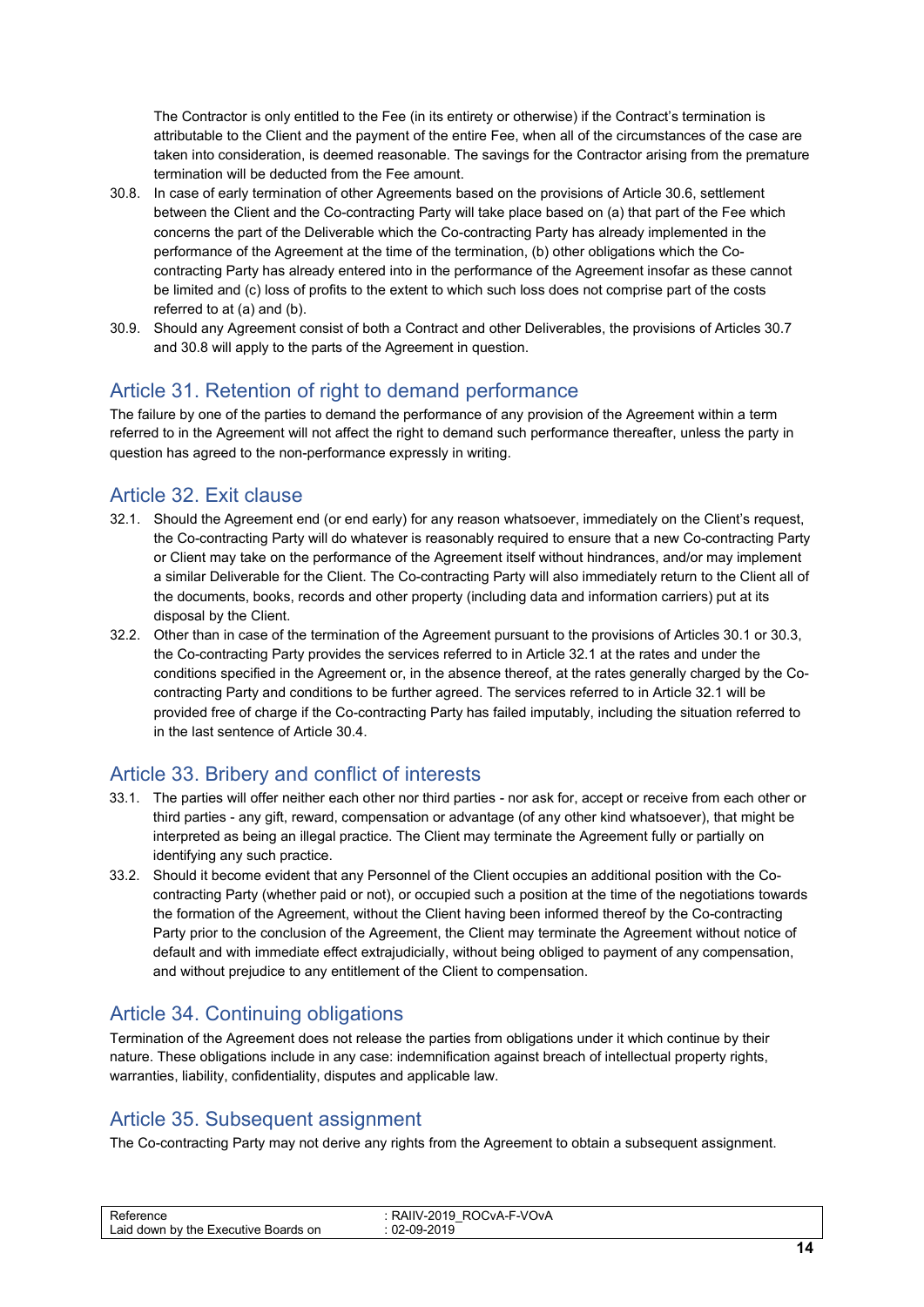The Contractor is only entitled to the Fee (in its entirety or otherwise) if the Contract's termination is attributable to the Client and the payment of the entire Fee, when all of the circumstances of the case are taken into consideration, is deemed reasonable. The savings for the Contractor arising from the premature termination will be deducted from the Fee amount.

- 30.8. In case of early termination of other Agreements based on the provisions of Article 30.6, settlement between the Client and the Co-contracting Party will take place based on (a) that part of the Fee which concerns the part of the Deliverable which the Co-contracting Party has already implemented in the performance of the Agreement at the time of the termination, (b) other obligations which the Cocontracting Party has already entered into in the performance of the Agreement insofar as these cannot be limited and (c) loss of profits to the extent to which such loss does not comprise part of the costs referred to at (a) and (b).
- 30.9. Should any Agreement consist of both a Contract and other Deliverables, the provisions of Articles 30.7 and 30.8 will apply to the parts of the Agreement in question.

#### <span id="page-13-0"></span>Article 31. Retention of right to demand performance

The failure by one of the parties to demand the performance of any provision of the Agreement within a term referred to in the Agreement will not affect the right to demand such performance thereafter, unless the party in question has agreed to the non-performance expressly in writing.

#### <span id="page-13-1"></span>Article 32. Exit clause

- 32.1. Should the Agreement end (or end early) for any reason whatsoever, immediately on the Client's request, the Co-contracting Party will do whatever is reasonably required to ensure that a new Co-contracting Party or Client may take on the performance of the Agreement itself without hindrances, and/or may implement a similar Deliverable for the Client. The Co-contracting Party will also immediately return to the Client all of the documents, books, records and other property (including data and information carriers) put at its disposal by the Client.
- 32.2. Other than in case of the termination of the Agreement pursuant to the provisions of Articles 30.1 or 30.3, the Co-contracting Party provides the services referred to in Article 32.1 at the rates and under the conditions specified in the Agreement or, in the absence thereof, at the rates generally charged by the Cocontracting Party and conditions to be further agreed. The services referred to in Article 32.1 will be provided free of charge if the Co-contracting Party has failed imputably, including the situation referred to in the last sentence of Article 30.4.

#### <span id="page-13-2"></span>Article 33. Bribery and conflict of interests

- 33.1. The parties will offer neither each other nor third parties nor ask for, accept or receive from each other or third parties - any gift, reward, compensation or advantage (of any other kind whatsoever), that might be interpreted as being an illegal practice. The Client may terminate the Agreement fully or partially on identifying any such practice.
- 33.2. Should it become evident that any Personnel of the Client occupies an additional position with the Cocontracting Party (whether paid or not), or occupied such a position at the time of the negotiations towards the formation of the Agreement, without the Client having been informed thereof by the Co-contracting Party prior to the conclusion of the Agreement, the Client may terminate the Agreement without notice of default and with immediate effect extrajudicially, without being obliged to payment of any compensation, and without prejudice to any entitlement of the Client to compensation.

#### <span id="page-13-3"></span>Article 34. Continuing obligations

Termination of the Agreement does not release the parties from obligations under it which continue by their nature. These obligations include in any case: indemnification against breach of intellectual property rights, warranties, liability, confidentiality, disputes and applicable law.

#### <span id="page-13-4"></span>Article 35. Subsequent assignment

The Co-contracting Party may not derive any rights from the Agreement to obtain a subsequent assignment.

| D.<br>encu<br>Laid<br>ards on<br>down<br>' the<br>. Executive<br>hv<br>Roor | CvA-F-VOvA<br>$\mathbf{r}$<br>м<br>. I U<br>$M_{\rm H}$<br>∠∪<br>$\sim$<br>$-$<br>0010<br>$\mathsf{A}^{\mathsf{C}}$ |                                    |
|-----------------------------------------------------------------------------|---------------------------------------------------------------------------------------------------------------------|------------------------------------|
|                                                                             |                                                                                                                     | the property of the control of the |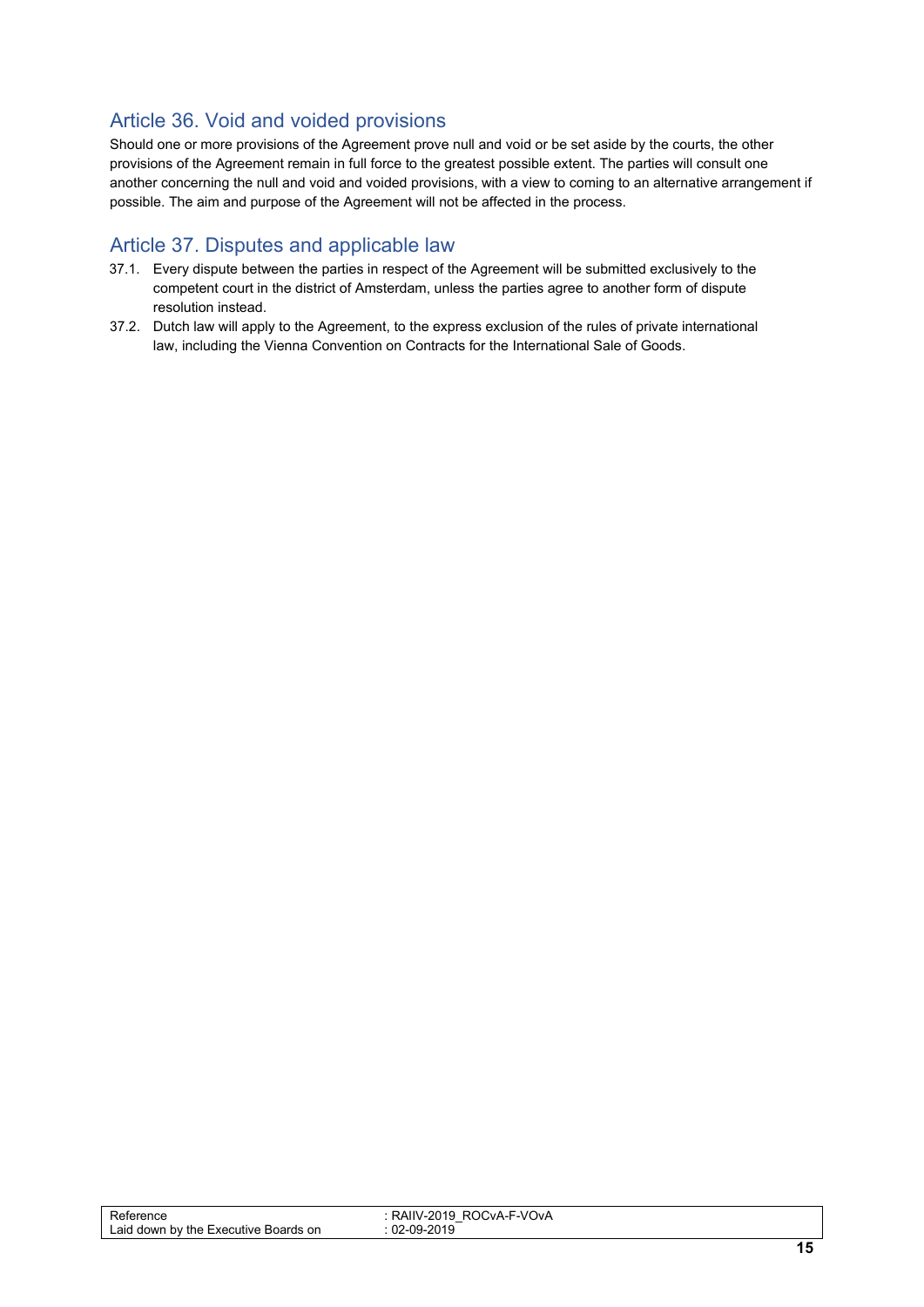#### <span id="page-14-0"></span>Article 36. Void and voided provisions

Should one or more provisions of the Agreement prove null and void or be set aside by the courts, the other provisions of the Agreement remain in full force to the greatest possible extent. The parties will consult one another concerning the null and void and voided provisions, with a view to coming to an alternative arrangement if possible. The aim and purpose of the Agreement will not be affected in the process.

#### <span id="page-14-1"></span>Article 37. Disputes and applicable law

- 37.1. Every dispute between the parties in respect of the Agreement will be submitted exclusively to the competent court in the district of Amsterdam, unless the parties agree to another form of dispute resolution instead.
- 37.2. Dutch law will apply to the Agreement, to the express exclusion of the rules of private international law, including the Vienna Convention on Contracts for the International Sale of Goods.

| ⊀eference<br>Laid down by the $\Gamma$<br>Boards on<br>Executive | CvA-F-VOvA<br>RAIIV<br>/-2019<br>ROC<br>—<br>-2019<br>_∩Q. |     |
|------------------------------------------------------------------|------------------------------------------------------------|-----|
|                                                                  |                                                            | . . |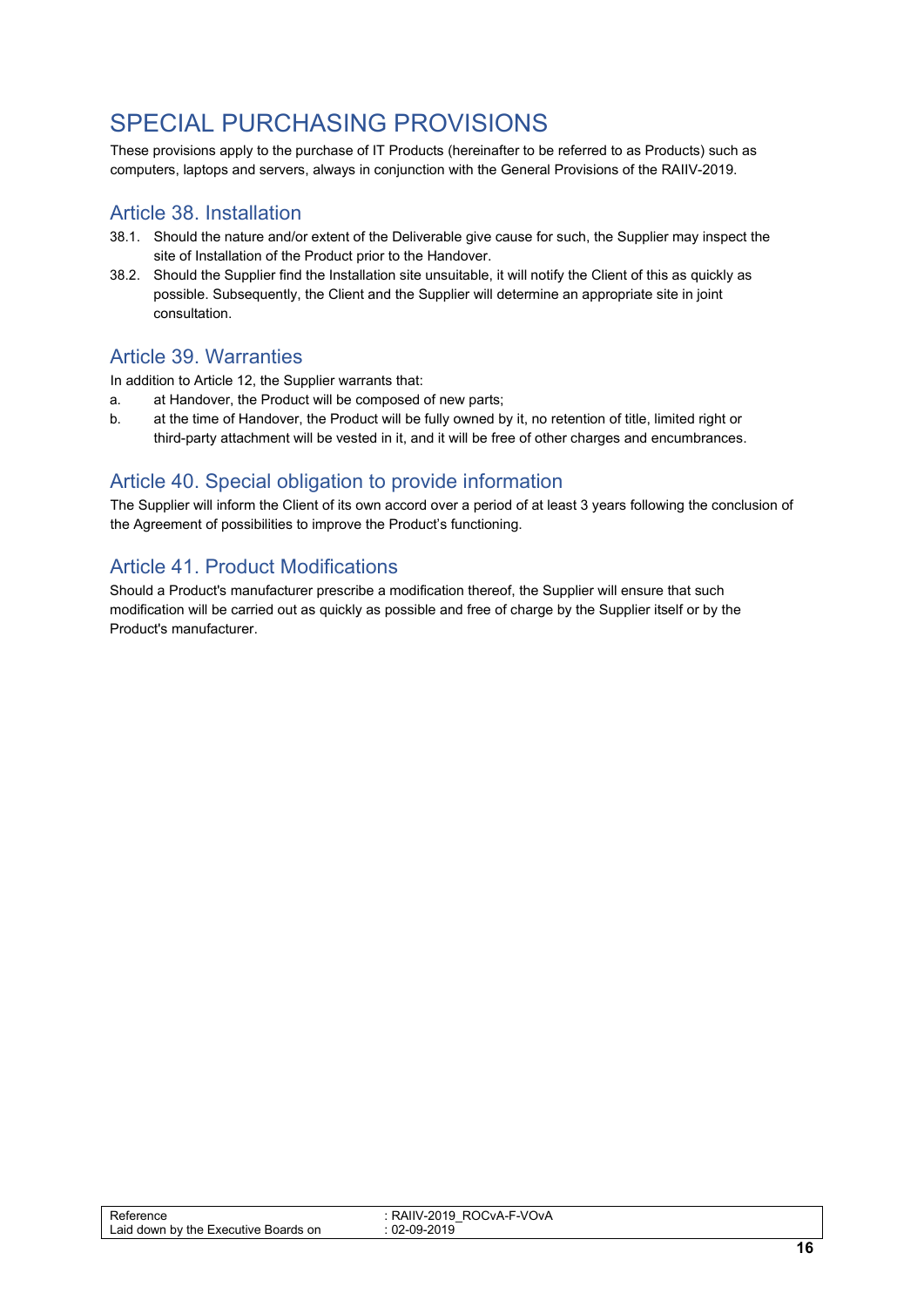# <span id="page-15-0"></span>SPECIAL PURCHASING PROVISIONS

These provisions apply to the purchase of IT Products (hereinafter to be referred to as Products) such as computers, laptops and servers, always in conjunction with the General Provisions of the RAIIV-2019.

#### <span id="page-15-1"></span>Article 38. Installation

- 38.1. Should the nature and/or extent of the Deliverable give cause for such, the Supplier may inspect the site of Installation of the Product prior to the Handover.
- 38.2. Should the Supplier find the Installation site unsuitable, it will notify the Client of this as quickly as possible. Subsequently, the Client and the Supplier will determine an appropriate site in joint consultation.

#### <span id="page-15-2"></span>Article 39. Warranties

In addition to Article 12, the Supplier warrants that:

- a. at Handover, the Product will be composed of new parts;
- b. at the time of Handover, the Product will be fully owned by it, no retention of title, limited right or third-party attachment will be vested in it, and it will be free of other charges and encumbrances.

#### <span id="page-15-3"></span>Article 40. Special obligation to provide information

The Supplier will inform the Client of its own accord over a period of at least 3 years following the conclusion of the Agreement of possibilities to improve the Product's functioning.

#### <span id="page-15-4"></span>Article 41. Product Modifications

Should a Product's manufacturer prescribe a modification thereof, the Supplier will ensure that such modification will be carried out as quickly as possible and free of charge by the Supplier itself or by the Product's manufacturer.

| D.<br>ence<br>Laid<br>Boards on<br>down<br>by the<br>. Executive | ™VOvA<br>$\cdot$ $\sim$<br>.<br>$\cdot$ $\cdot$<br>N<br>$\sim$<br>.<br>∼<br>$\overline{\phantom{0}}$<br>ne,<br>na.<br>. .<br>___ |      |
|------------------------------------------------------------------|----------------------------------------------------------------------------------------------------------------------------------|------|
|                                                                  |                                                                                                                                  | $ -$ |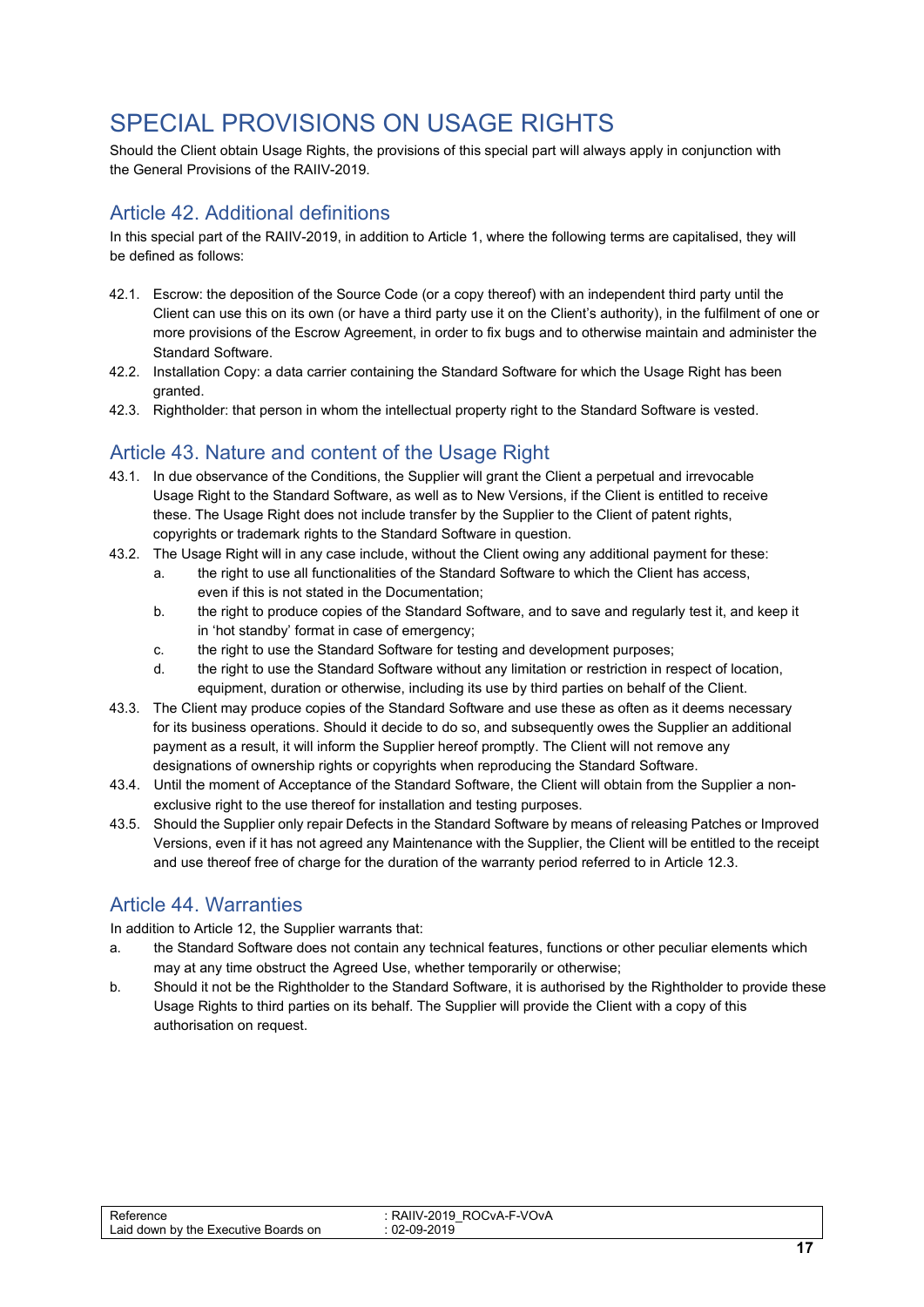# <span id="page-16-0"></span>SPECIAL PROVISIONS ON USAGE RIGHTS

Should the Client obtain Usage Rights, the provisions of this special part will always apply in conjunction with the General Provisions of the RAIIV-2019.

#### <span id="page-16-1"></span>Article 42. Additional definitions

In this special part of the RAIIV-2019, in addition to Article 1, where the following terms are capitalised, they will be defined as follows:

- 42.1. Escrow: the deposition of the Source Code (or a copy thereof) with an independent third party until the Client can use this on its own (or have a third party use it on the Client's authority), in the fulfilment of one or more provisions of the Escrow Agreement, in order to fix bugs and to otherwise maintain and administer the Standard Software.
- 42.2. Installation Copy: a data carrier containing the Standard Software for which the Usage Right has been granted.
- 42.3. Rightholder: that person in whom the intellectual property right to the Standard Software is vested.

#### <span id="page-16-2"></span>Article 43. Nature and content of the Usage Right

- 43.1. In due observance of the Conditions, the Supplier will grant the Client a perpetual and irrevocable Usage Right to the Standard Software, as well as to New Versions, if the Client is entitled to receive these. The Usage Right does not include transfer by the Supplier to the Client of patent rights, copyrights or trademark rights to the Standard Software in question.
- 43.2. The Usage Right will in any case include, without the Client owing any additional payment for these:
	- a. the right to use all functionalities of the Standard Software to which the Client has access, even if this is not stated in the Documentation;
	- b. the right to produce copies of the Standard Software, and to save and regularly test it, and keep it in 'hot standby' format in case of emergency;
	- c. the right to use the Standard Software for testing and development purposes;
	- d. the right to use the Standard Software without any limitation or restriction in respect of location, equipment, duration or otherwise, including its use by third parties on behalf of the Client.
- 43.3. The Client may produce copies of the Standard Software and use these as often as it deems necessary for its business operations. Should it decide to do so, and subsequently owes the Supplier an additional payment as a result, it will inform the Supplier hereof promptly. The Client will not remove any designations of ownership rights or copyrights when reproducing the Standard Software.
- 43.4. Until the moment of Acceptance of the Standard Software, the Client will obtain from the Supplier a nonexclusive right to the use thereof for installation and testing purposes.
- 43.5. Should the Supplier only repair Defects in the Standard Software by means of releasing Patches or Improved Versions, even if it has not agreed any Maintenance with the Supplier, the Client will be entitled to the receipt and use thereof free of charge for the duration of the warranty period referred to in Article 12.3.

#### <span id="page-16-3"></span>Article 44. Warranties

In addition to Article 12, the Supplier warrants that:

- a. the Standard Software does not contain any technical features, functions or other peculiar elements which may at any time obstruct the Agreed Use, whether temporarily or otherwise;
- b. Should it not be the Rightholder to the Standard Software, it is authorised by the Rightholder to provide these Usage Rights to third parties on its behalf. The Supplier will provide the Client with a copy of this authorisation on request.

| -<br>rence<br>∟aid<br>on<br>down<br><b>Boards</b><br>by the<br>Executive | CvA-F-VOvA<br>.<br>-19<br>N<br>יוור<br>-2 U<br>.<br>ne,<br>റവ<br>____ |      |
|--------------------------------------------------------------------------|-----------------------------------------------------------------------|------|
|                                                                          |                                                                       | $ -$ |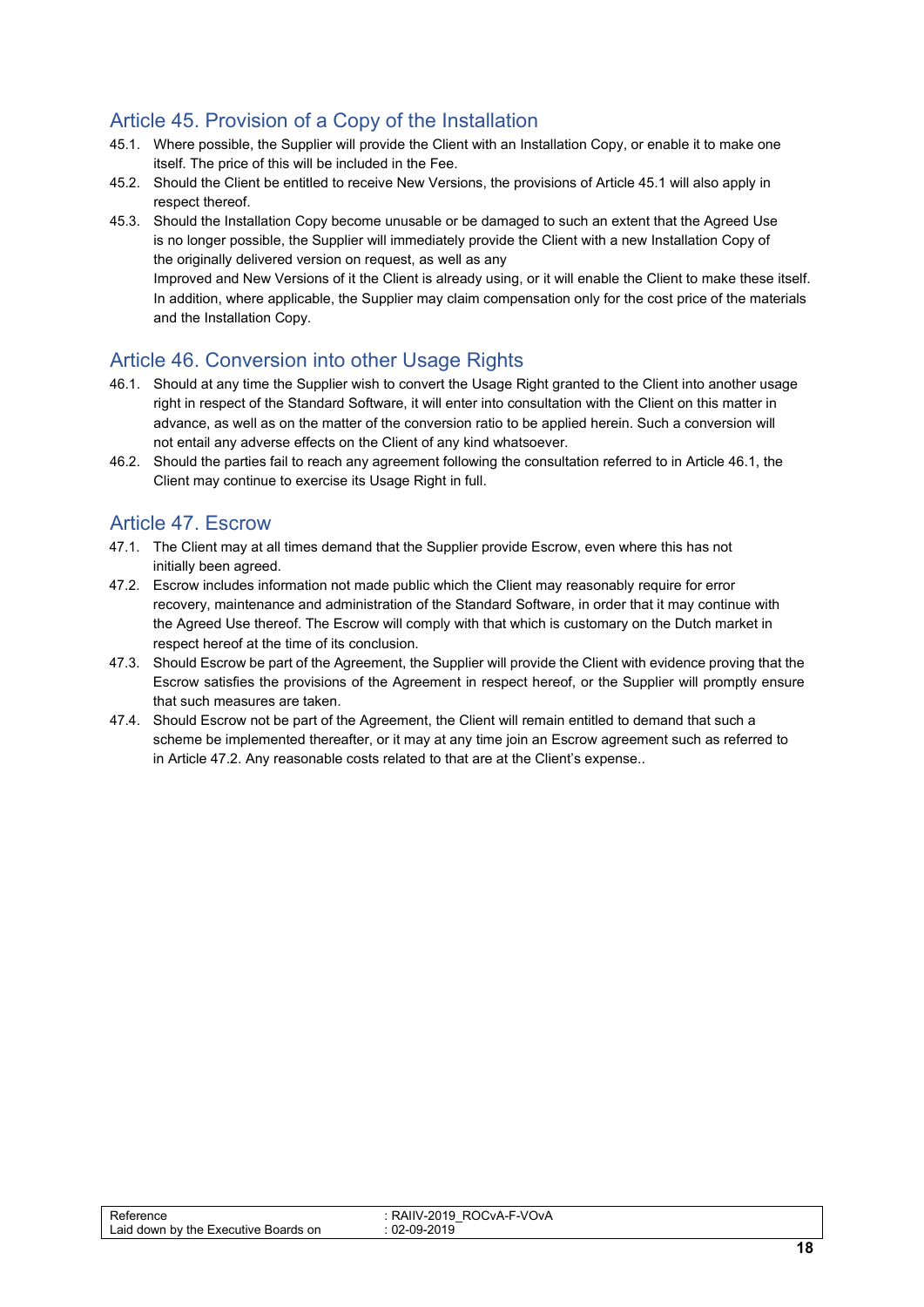### <span id="page-17-0"></span>Article 45. Provision of a Copy of the Installation

- 45.1. Where possible, the Supplier will provide the Client with an Installation Copy, or enable it to make one itself. The price of this will be included in the Fee.
- 45.2. Should the Client be entitled to receive New Versions, the provisions of Article 45.1 will also apply in respect thereof.
- 45.3. Should the Installation Copy become unusable or be damaged to such an extent that the Agreed Use is no longer possible, the Supplier will immediately provide the Client with a new Installation Copy of the originally delivered version on request, as well as any Improved and New Versions of it the Client is already using, or it will enable the Client to make these itself. In addition, where applicable, the Supplier may claim compensation only for the cost price of the materials and the Installation Copy.

#### <span id="page-17-1"></span>Article 46. Conversion into other Usage Rights

- 46.1. Should at any time the Supplier wish to convert the Usage Right granted to the Client into another usage right in respect of the Standard Software, it will enter into consultation with the Client on this matter in advance, as well as on the matter of the conversion ratio to be applied herein. Such a conversion will not entail any adverse effects on the Client of any kind whatsoever.
- 46.2. Should the parties fail to reach any agreement following the consultation referred to in Article 46.1, the Client may continue to exercise its Usage Right in full.

#### <span id="page-17-2"></span>Article 47. Escrow

- 47.1. The Client may at all times demand that the Supplier provide Escrow, even where this has not initially been agreed.
- 47.2. Escrow includes information not made public which the Client may reasonably require for error recovery, maintenance and administration of the Standard Software, in order that it may continue with the Agreed Use thereof. The Escrow will comply with that which is customary on the Dutch market in respect hereof at the time of its conclusion.
- 47.3. Should Escrow be part of the Agreement, the Supplier will provide the Client with evidence proving that the Escrow satisfies the provisions of the Agreement in respect hereof, or the Supplier will promptly ensure that such measures are taken.
- 47.4. Should Escrow not be part of the Agreement, the Client will remain entitled to demand that such a scheme be implemented thereafter, or it may at any time join an Escrow agreement such as referred to in Article 47.2. Any reasonable costs related to that are at the Client's expense..

| aid<br>on<br>ards<br>the<br>Executive<br>. dowr<br>bv<br>∺∩ar<br>$-$ | F-VOvA<br>$\cdot$ . $\Lambda$<br>.<br>м<br>--WA-<br>N<br>י וור<br>∼<br>$\overline{\phantom{0}}$<br>∩Q_<br>$\sim$<br>uz<br>. . |               |
|----------------------------------------------------------------------|-------------------------------------------------------------------------------------------------------------------------------|---------------|
|                                                                      |                                                                                                                               | $\sim$ $\sim$ |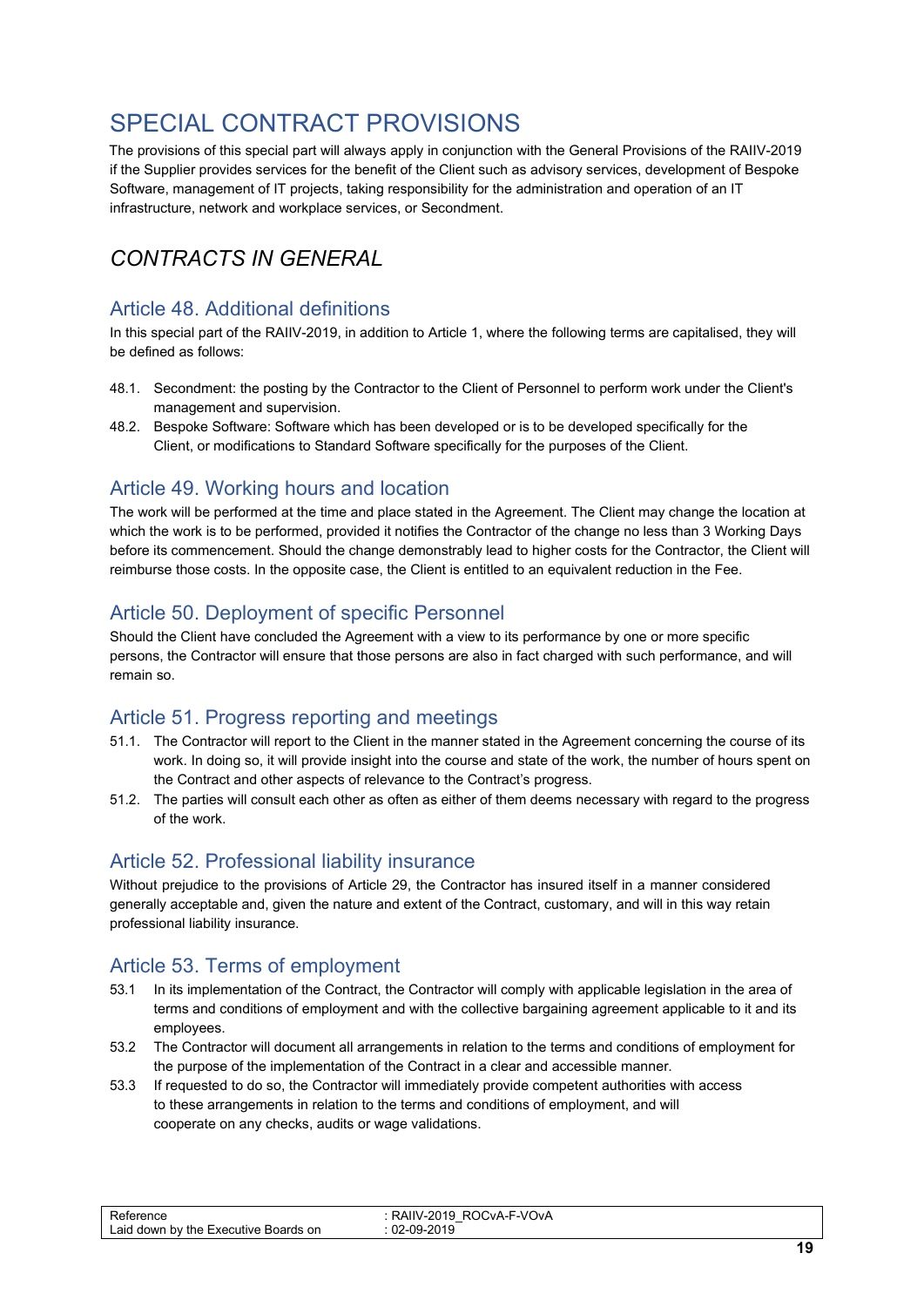# <span id="page-18-0"></span>SPECIAL CONTRACT PROVISIONS

The provisions of this special part will always apply in conjunction with the General Provisions of the RAIIV-2019 if the Supplier provides services for the benefit of the Client such as advisory services, development of Bespoke Software, management of IT projects, taking responsibility for the administration and operation of an IT infrastructure, network and workplace services, or Secondment.

# *CONTRACTS IN GENERAL*

#### <span id="page-18-1"></span>Article 48. Additional definitions

In this special part of the RAIIV-2019, in addition to Article 1, where the following terms are capitalised, they will be defined as follows:

- 48.1. Secondment: the posting by the Contractor to the Client of Personnel to perform work under the Client's management and supervision.
- 48.2. Bespoke Software: Software which has been developed or is to be developed specifically for the Client, or modifications to Standard Software specifically for the purposes of the Client.

#### <span id="page-18-2"></span>Article 49. Working hours and location

The work will be performed at the time and place stated in the Agreement. The Client may change the location at which the work is to be performed, provided it notifies the Contractor of the change no less than 3 Working Days before its commencement. Should the change demonstrably lead to higher costs for the Contractor, the Client will reimburse those costs. In the opposite case, the Client is entitled to an equivalent reduction in the Fee.

#### <span id="page-18-3"></span>Article 50. Deployment of specific Personnel

Should the Client have concluded the Agreement with a view to its performance by one or more specific persons, the Contractor will ensure that those persons are also in fact charged with such performance, and will remain so.

#### <span id="page-18-4"></span>Article 51. Progress reporting and meetings

- 51.1. The Contractor will report to the Client in the manner stated in the Agreement concerning the course of its work. In doing so, it will provide insight into the course and state of the work, the number of hours spent on the Contract and other aspects of relevance to the Contract's progress.
- 51.2. The parties will consult each other as often as either of them deems necessary with regard to the progress of the work.

#### <span id="page-18-5"></span>Article 52. Professional liability insurance

Without prejudice to the provisions of Article 29, the Contractor has insured itself in a manner considered generally acceptable and, given the nature and extent of the Contract, customary, and will in this way retain professional liability insurance.

#### <span id="page-18-6"></span>Article 53. Terms of employment

- 53.1 In its implementation of the Contract, the Contractor will comply with applicable legislation in the area of terms and conditions of employment and with the collective bargaining agreement applicable to it and its employees.
- 53.2 The Contractor will document all arrangements in relation to the terms and conditions of employment for the purpose of the implementation of the Contract in a clear and accessible manner.
- 53.3 If requested to do so, the Contractor will immediately provide competent authorities with access to these arrangements in relation to the terms and conditions of employment, and will cooperate on any checks, audits or wage validations.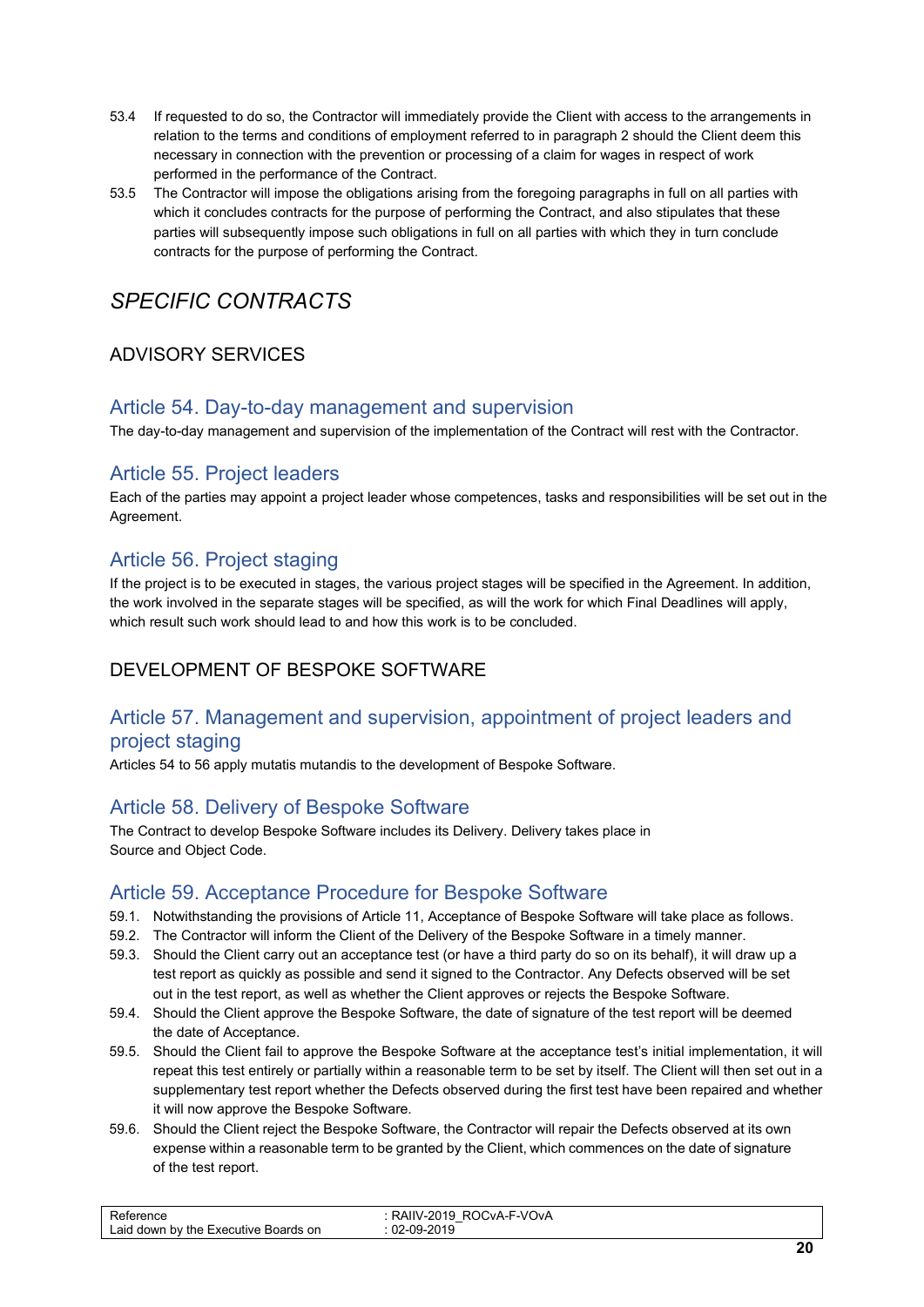- 53.4 If requested to do so, the Contractor will immediately provide the Client with access to the arrangements in relation to the terms and conditions of employment referred to in paragraph 2 should the Client deem this necessary in connection with the prevention or processing of a claim for wages in respect of work performed in the performance of the Contract.
- 53.5 The Contractor will impose the obligations arising from the foregoing paragraphs in full on all parties with which it concludes contracts for the purpose of performing the Contract, and also stipulates that these parties will subsequently impose such obligations in full on all parties with which they in turn conclude contracts for the purpose of performing the Contract.

# *SPECIFIC CONTRACTS*

#### ADVISORY SERVICES

#### <span id="page-19-0"></span>Article 54. Day-to-day management and supervision

The day-to-day management and supervision of the implementation of the Contract will rest with the Contractor.

#### <span id="page-19-1"></span>Article 55. Project leaders

Each of the parties may appoint a project leader whose competences, tasks and responsibilities will be set out in the Agreement.

#### <span id="page-19-2"></span>Article 56. Project staging

If the project is to be executed in stages, the various project stages will be specified in the Agreement. In addition, the work involved in the separate stages will be specified, as will the work for which Final Deadlines will apply, which result such work should lead to and how this work is to be concluded.

#### DEVELOPMENT OF BESPOKE SOFTWARE

#### <span id="page-19-3"></span>Article 57. Management and supervision, appointment of project leaders and project staging

Articles 54 to 56 apply mutatis mutandis to the development of Bespoke Software.

#### <span id="page-19-4"></span>Article 58. Delivery of Bespoke Software

The Contract to develop Bespoke Software includes its Delivery. Delivery takes place in Source and Object Code.

#### <span id="page-19-5"></span>Article 59. Acceptance Procedure for Bespoke Software

- 59.1. Notwithstanding the provisions of Article 11, Acceptance of Bespoke Software will take place as follows.
- 59.2. The Contractor will inform the Client of the Delivery of the Bespoke Software in a timely manner.
- 59.3. Should the Client carry out an acceptance test (or have a third party do so on its behalf), it will draw up a test report as quickly as possible and send it signed to the Contractor. Any Defects observed will be set out in the test report, as well as whether the Client approves or rejects the Bespoke Software.
- 59.4. Should the Client approve the Bespoke Software, the date of signature of the test report will be deemed the date of Acceptance.
- 59.5. Should the Client fail to approve the Bespoke Software at the acceptance test's initial implementation, it will repeat this test entirely or partially within a reasonable term to be set by itself. The Client will then set out in a supplementary test report whether the Defects observed during the first test have been repaired and whether it will now approve the Bespoke Software.
- 59.6. Should the Client reject the Bespoke Software, the Contractor will repair the Defects observed at its own expense within a reasonable term to be granted by the Client, which commences on the date of signature of the test report.

| aic<br>or<br>the.<br>ards<br>. dowr<br>. Executive<br>bv<br>∺∩ar | ™-VOvA<br>NА.<br>n<br>$\sim$<br>$\cdot$ M<br>N<br>nı.<br>.<br>--<br>0010<br>$\sim$<br>∩Q_<br>uz<br>.<br>- 7<br>____ |  |
|------------------------------------------------------------------|---------------------------------------------------------------------------------------------------------------------|--|
|                                                                  |                                                                                                                     |  |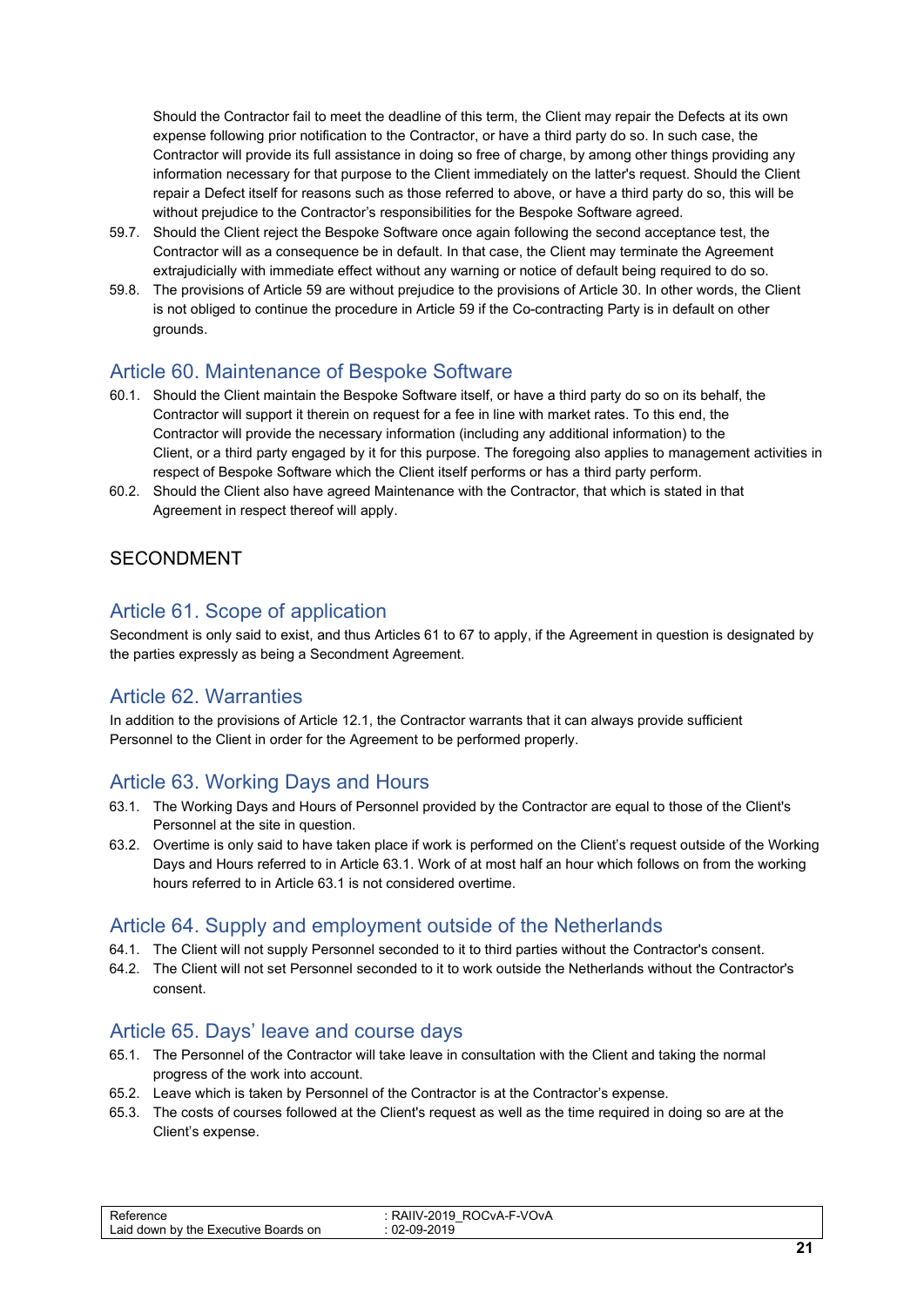Should the Contractor fail to meet the deadline of this term, the Client may repair the Defects at its own expense following prior notification to the Contractor, or have a third party do so. In such case, the Contractor will provide its full assistance in doing so free of charge, by among other things providing any information necessary for that purpose to the Client immediately on the latter's request. Should the Client repair a Defect itself for reasons such as those referred to above, or have a third party do so, this will be without prejudice to the Contractor's responsibilities for the Bespoke Software agreed.

- 59.7. Should the Client reject the Bespoke Software once again following the second acceptance test, the Contractor will as a consequence be in default. In that case, the Client may terminate the Agreement extrajudicially with immediate effect without any warning or notice of default being required to do so.
- 59.8. The provisions of Article 59 are without prejudice to the provisions of Article 30. In other words, the Client is not obliged to continue the procedure in Article 59 if the Co-contracting Party is in default on other grounds.

#### <span id="page-20-0"></span>Article 60. Maintenance of Bespoke Software

- 60.1. Should the Client maintain the Bespoke Software itself, or have a third party do so on its behalf, the Contractor will support it therein on request for a fee in line with market rates. To this end, the Contractor will provide the necessary information (including any additional information) to the Client, or a third party engaged by it for this purpose. The foregoing also applies to management activities in respect of Bespoke Software which the Client itself performs or has a third party perform.
- 60.2. Should the Client also have agreed Maintenance with the Contractor, that which is stated in that Agreement in respect thereof will apply.

#### SECONDMENT

#### <span id="page-20-1"></span>Article 61. Scope of application

Secondment is only said to exist, and thus Articles 61 to 67 to apply, if the Agreement in question is designated by the parties expressly as being a Secondment Agreement.

#### <span id="page-20-2"></span>Article 62. Warranties

In addition to the provisions of Article 12.1, the Contractor warrants that it can always provide sufficient Personnel to the Client in order for the Agreement to be performed properly.

#### <span id="page-20-3"></span>Article 63. Working Days and Hours

- 63.1. The Working Days and Hours of Personnel provided by the Contractor are equal to those of the Client's Personnel at the site in question.
- 63.2. Overtime is only said to have taken place if work is performed on the Client's request outside of the Working Days and Hours referred to in Article 63.1. Work of at most half an hour which follows on from the working hours referred to in Article 63.1 is not considered overtime.

#### <span id="page-20-4"></span>Article 64. Supply and employment outside of the Netherlands

- 64.1. The Client will not supply Personnel seconded to it to third parties without the Contractor's consent.
- 64.2. The Client will not set Personnel seconded to it to work outside the Netherlands without the Contractor's consent.

#### <span id="page-20-5"></span>Article 65. Days' leave and course days

- 65.1. The Personnel of the Contractor will take leave in consultation with the Client and taking the normal progress of the work into account.
- 65.2. Leave which is taken by Personnel of the Contractor is at the Contractor's expense.
- 65.3. The costs of courses followed at the Client's request as well as the time required in doing so are at the Client's expense.

| –<br>∟aid<br>Boards on<br>l down by the Executive l | CvA-F-VOvA<br>$\cdots$<br>$\sim$<br>∼<br>__<br>0010 |  |
|-----------------------------------------------------|-----------------------------------------------------|--|
|                                                     |                                                     |  |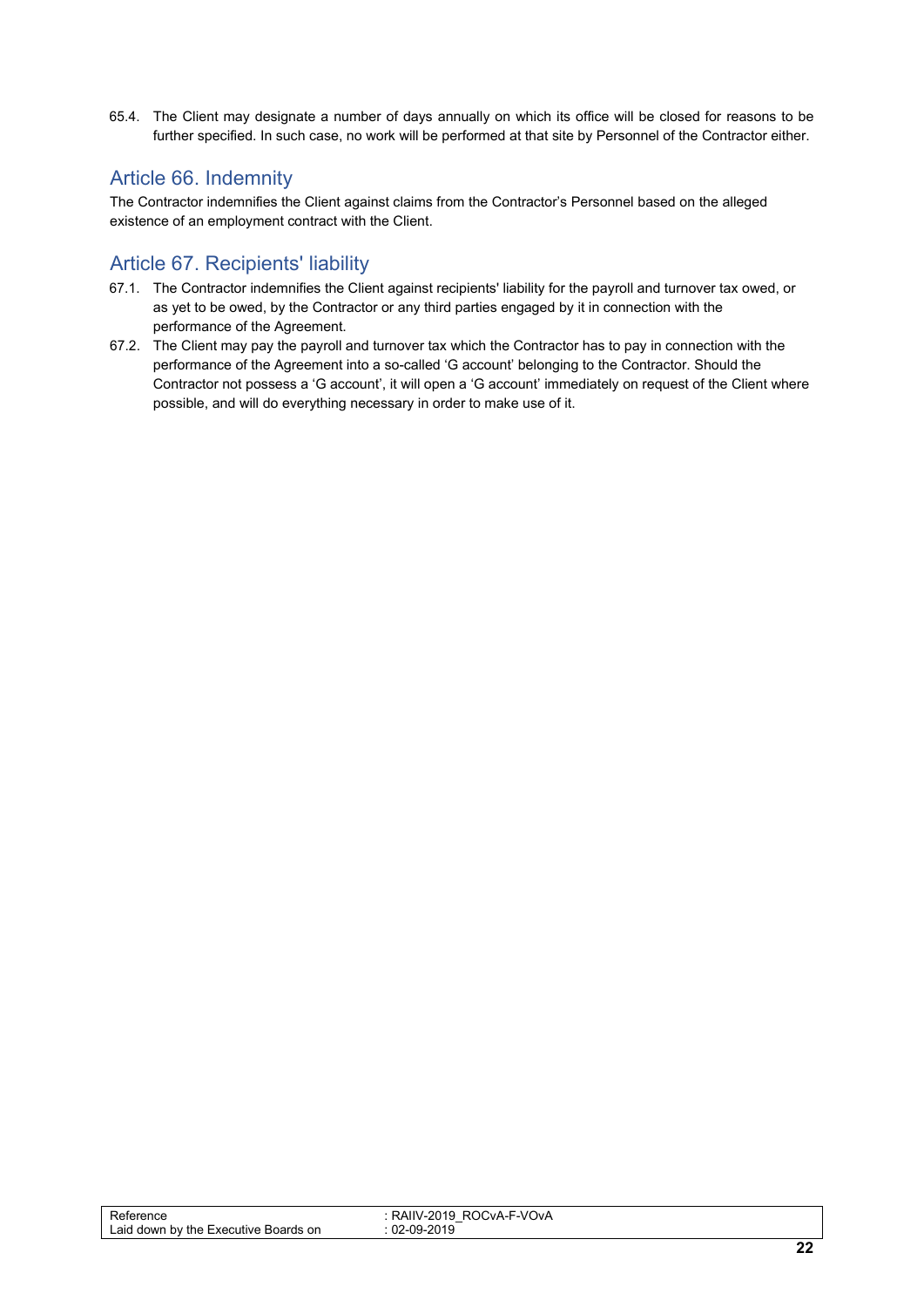<span id="page-21-2"></span>65.4. The Client may designate a number of days annually on which its office will be closed for reasons to be further specified. In such case, no work will be performed at that site by Personnel of the Contractor either.

#### <span id="page-21-0"></span>Article 66. Indemnity

The Contractor indemnifies the Client against claims from the Contractor's Personnel based on the alleged existence of an employment contract with the Client.

#### <span id="page-21-1"></span>Article 67. Recipients' liability

- 67.1. The Contractor indemnifies the Client against recipients' liability for the payroll and turnover tax owed, or as yet to be owed, by the Contractor or any third parties engaged by it in connection with the performance of the Agreement.
- 67.2. The Client may pay the payroll and turnover tax which the Contractor has to pay in connection with the performance of the Agreement into a so-called 'G account' belonging to the Contractor. Should the Contractor not possess a 'G account', it will open a 'G account' immediately on request of the Client where possible, and will do everything necessary in order to make use of it.

| Reference<br>Laid down by the Executive<br>Boards on | ROCvA-F-VOvA<br><b>RAIIV</b><br>IV-2019<br>$\overline{\phantom{0}}$<br>02-09-2019 |                      |
|------------------------------------------------------|-----------------------------------------------------------------------------------|----------------------|
|                                                      |                                                                                   | $\ddot{\phantom{a}}$ |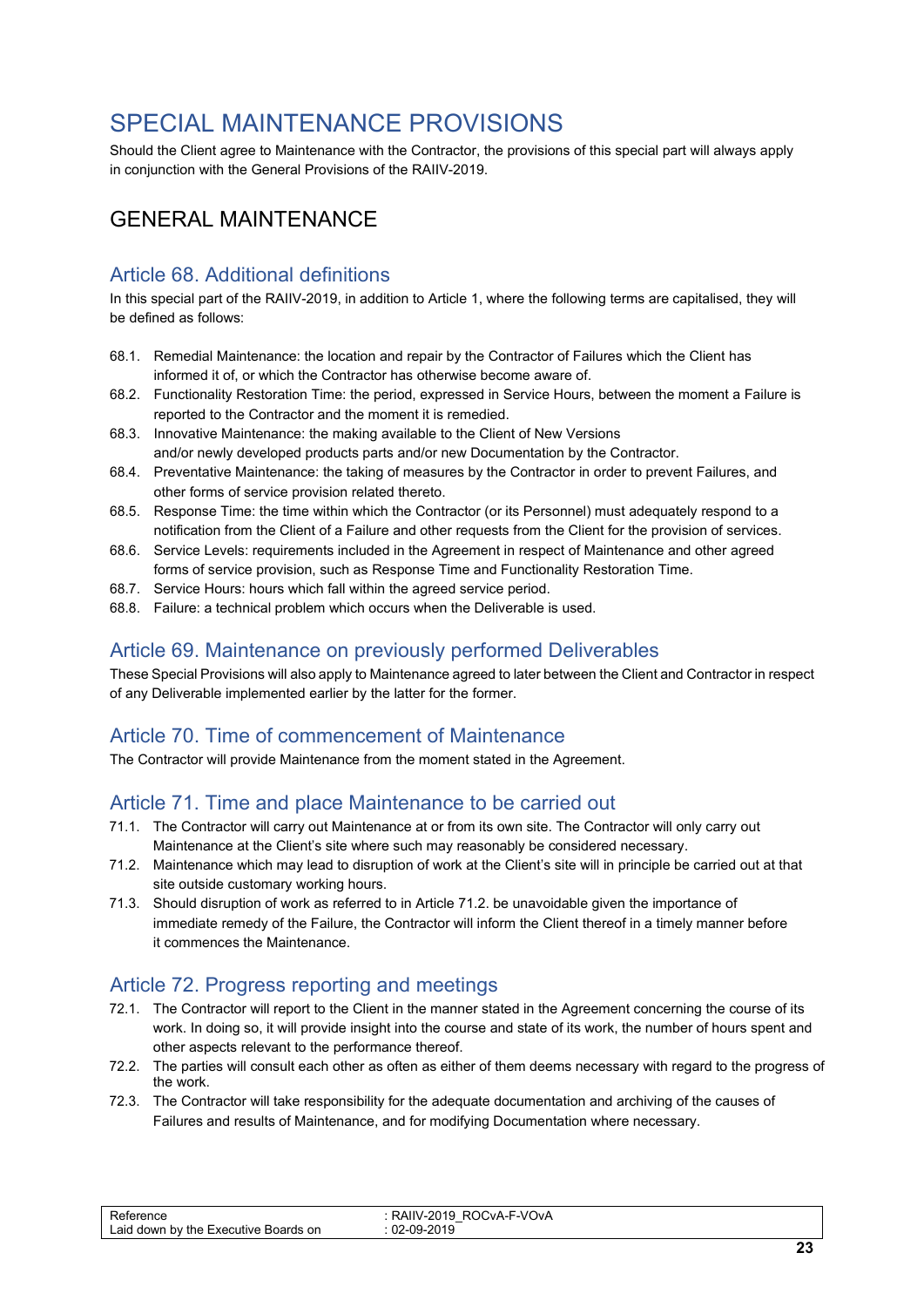# <span id="page-22-5"></span>SPECIAL MAINTENANCE PROVISIONS

Should the Client agree to Maintenance with the Contractor, the provisions of this special part will always apply in conjunction with the General Provisions of the RAIIV-2019.

# GENERAL MAINTENANCE

#### <span id="page-22-0"></span>Article 68. Additional definitions

In this special part of the RAIIV-2019, in addition to Article 1, where the following terms are capitalised, they will be defined as follows:

- 68.1. Remedial Maintenance: the location and repair by the Contractor of Failures which the Client has informed it of, or which the Contractor has otherwise become aware of.
- 68.2. Functionality Restoration Time: the period, expressed in Service Hours, between the moment a Failure is reported to the Contractor and the moment it is remedied.
- 68.3. Innovative Maintenance: the making available to the Client of New Versions and/or newly developed products parts and/or new Documentation by the Contractor.
- 68.4. Preventative Maintenance: the taking of measures by the Contractor in order to prevent Failures, and other forms of service provision related thereto.
- 68.5. Response Time: the time within which the Contractor (or its Personnel) must adequately respond to a notification from the Client of a Failure and other requests from the Client for the provision of services.
- 68.6. Service Levels: requirements included in the Agreement in respect of Maintenance and other agreed forms of service provision, such as Response Time and Functionality Restoration Time.
- 68.7. Service Hours: hours which fall within the agreed service period.
- 68.8. Failure: a technical problem which occurs when the Deliverable is used.

#### <span id="page-22-1"></span>Article 69. Maintenance on previously performed Deliverables

These Special Provisions will also apply to Maintenance agreed to later between the Client and Contractor in respect of any Deliverable implemented earlier by the latter for the former.

#### <span id="page-22-2"></span>Article 70. Time of commencement of Maintenance

The Contractor will provide Maintenance from the moment stated in the Agreement.

#### <span id="page-22-3"></span>Article 71. Time and place Maintenance to be carried out

- 71.1. The Contractor will carry out Maintenance at or from its own site. The Contractor will only carry out Maintenance at the Client's site where such may reasonably be considered necessary.
- 71.2. Maintenance which may lead to disruption of work at the Client's site will in principle be carried out at that site outside customary working hours.
- 71.3. Should disruption of work as referred to in Article 71.2. be unavoidable given the importance of immediate remedy of the Failure, the Contractor will inform the Client thereof in a timely manner before it commences the Maintenance.

#### <span id="page-22-4"></span>Article 72. Progress reporting and meetings

- 72.1. The Contractor will report to the Client in the manner stated in the Agreement concerning the course of its work. In doing so, it will provide insight into the course and state of its work, the number of hours spent and other aspects relevant to the performance thereof.
- 72.2. The parties will consult each other as often as either of them deems necessary with regard to the progress of the work.
- 72.3. The Contractor will take responsibility for the adequate documentation and archiving of the causes of Failures and results of Maintenance, and for modifying Documentation where necessary.

| erence<br>-aid<br>Boards on<br>down by the E<br>. Executive ⊑ | ™-VOvA<br>∍ר<br>-RC<br>$\mathcal{L}$<br>∴∨A-⊢<br>$1V - 2U$<br>14<br><b>IVAIIV</b><br>∼<br>2010<br>$\sim$<br>nr<br>œ<br>◡∠ |  |
|---------------------------------------------------------------|---------------------------------------------------------------------------------------------------------------------------|--|
|                                                               |                                                                                                                           |  |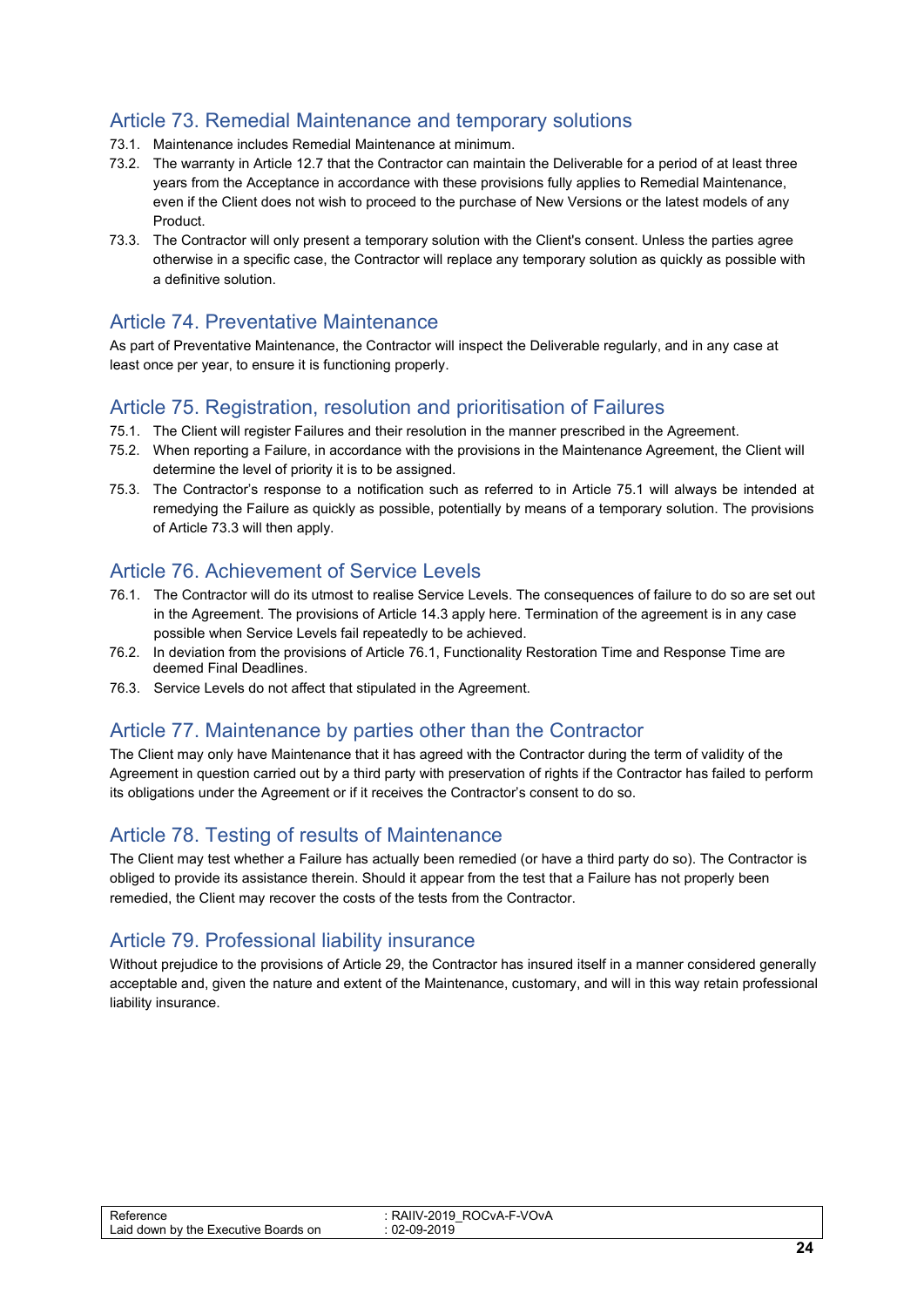#### Article 73. Remedial Maintenance and temporary solutions

- 73.1. Maintenance includes Remedial Maintenance at minimum.
- 73.2. The warranty in Article 12.7 that the Contractor can maintain the Deliverable for a period of at least three years from the Acceptance in accordance with these provisions fully applies to Remedial Maintenance, even if the Client does not wish to proceed to the purchase of New Versions or the latest models of any Product.
- 73.3. The Contractor will only present a temporary solution with the Client's consent. Unless the parties agree otherwise in a specific case, the Contractor will replace any temporary solution as quickly as possible with a definitive solution.

#### <span id="page-23-0"></span>Article 74. Preventative Maintenance

As part of Preventative Maintenance, the Contractor will inspect the Deliverable regularly, and in any case at least once per year, to ensure it is functioning properly.

#### <span id="page-23-1"></span>Article 75. Registration, resolution and prioritisation of Failures

- 75.1. The Client will register Failures and their resolution in the manner prescribed in the Agreement.
- 75.2. When reporting a Failure, in accordance with the provisions in the Maintenance Agreement, the Client will determine the level of priority it is to be assigned.
- 75.3. The Contractor's response to a notification such as referred to in Article 75.1 will always be intended at remedying the Failure as quickly as possible, potentially by means of a temporary solution. The provisions of Article 73.3 will then apply.

#### <span id="page-23-2"></span>Article 76. Achievement of Service Levels

- 76.1. The Contractor will do its utmost to realise Service Levels. The consequences of failure to do so are set out in the Agreement. The provisions of Article 14.3 apply here. Termination of the agreement is in any case possible when Service Levels fail repeatedly to be achieved.
- 76.2. In deviation from the provisions of Article 76.1, Functionality Restoration Time and Response Time are deemed Final Deadlines.
- 76.3. Service Levels do not affect that stipulated in the Agreement.

#### <span id="page-23-3"></span>Article 77. Maintenance by parties other than the Contractor

The Client may only have Maintenance that it has agreed with the Contractor during the term of validity of the Agreement in question carried out by a third party with preservation of rights if the Contractor has failed to perform its obligations under the Agreement or if it receives the Contractor's consent to do so.

#### <span id="page-23-4"></span>Article 78. Testing of results of Maintenance

The Client may test whether a Failure has actually been remedied (or have a third party do so). The Contractor is obliged to provide its assistance therein. Should it appear from the test that a Failure has not properly been remedied, the Client may recover the costs of the tests from the Contractor.

#### <span id="page-23-5"></span>Article 79. Professional liability insurance

Without prejudice to the provisions of Article 29, the Contractor has insured itself in a manner considered generally acceptable and, given the nature and extent of the Maintenance, customary, and will in this way retain professional liability insurance.

| -<br>arence<br>∟aid<br>or<br>down by<br>∵the<br>Executive<br>ards | <b>F-VOVA</b><br>`VA-L<br>NAIN<br>∼<br>w<br>$\overline{\phantom{0}}$<br>ΩS<br>.na<br>าษ |      |
|-------------------------------------------------------------------|-----------------------------------------------------------------------------------------|------|
|                                                                   |                                                                                         | $ -$ |